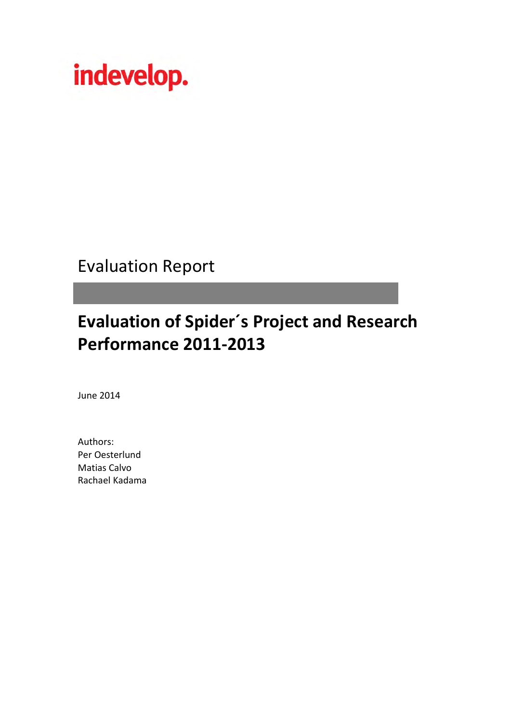

Evaluation Report

# **Evaluation of Spider´s Project and Research Performance 2011-2013**

June 2014

Authors: Per Oesterlund Matias Calvo Rachael Kadama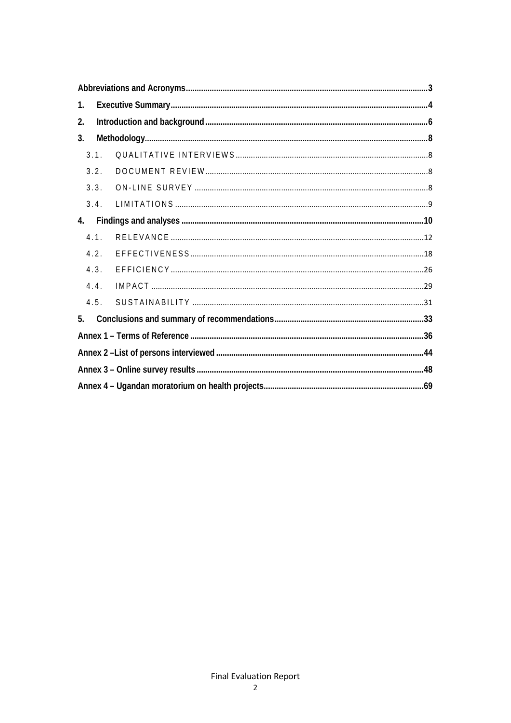| 1. |      |  |
|----|------|--|
| 2. |      |  |
| 3. |      |  |
|    | 3.1. |  |
|    | 3.2. |  |
|    | 3.3. |  |
|    | 3.4. |  |
| 4. |      |  |
|    | 4.1. |  |
|    | 4.2. |  |
|    | 4.3. |  |
|    | 4.4. |  |
|    | 4.5. |  |
| 5. |      |  |
|    |      |  |
|    |      |  |
|    |      |  |
|    |      |  |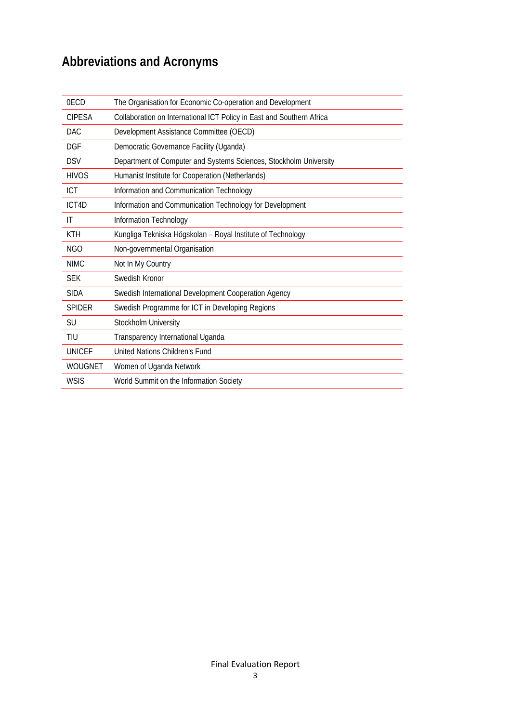## <span id="page-2-0"></span>**Abbreviations and Acronyms**

| 0ECD          | The Organisation for Economic Co-operation and Development            |
|---------------|-----------------------------------------------------------------------|
| <b>CIPESA</b> | Collaboration on International ICT Policy in East and Southern Africa |
| DAC.          | Development Assistance Committee (OECD)                               |
| DGF           | Democratic Governance Facility (Uganda)                               |
| <b>DSV</b>    | Department of Computer and Systems Sciences, Stockholm University     |
| <b>HIVOS</b>  | Humanist Institute for Cooperation (Netherlands)                      |
| ICT           | Information and Communication Technology                              |
| ICT4D         | Information and Communication Technology for Development              |
| IT            | Information Technology                                                |
| <b>KTH</b>    | Kungliga Tekniska Högskolan - Royal Institute of Technology           |
| NGO           | Non-governmental Organisation                                         |
| NIMC.         | Not In My Country                                                     |
| <b>SEK</b>    | Swedish Kronor                                                        |
| <b>SIDA</b>   | Swedish International Development Cooperation Agency                  |
| <b>SPIDER</b> | Swedish Programme for ICT in Developing Regions                       |
| <b>SU</b>     | Stockholm University                                                  |
| TIU           | Transparency International Uganda                                     |
| <b>UNICEF</b> | United Nations Children's Fund                                        |
| WOUGNET       | Women of Uganda Network                                               |
| <b>WSIS</b>   | World Summit on the Information Society                               |
|               |                                                                       |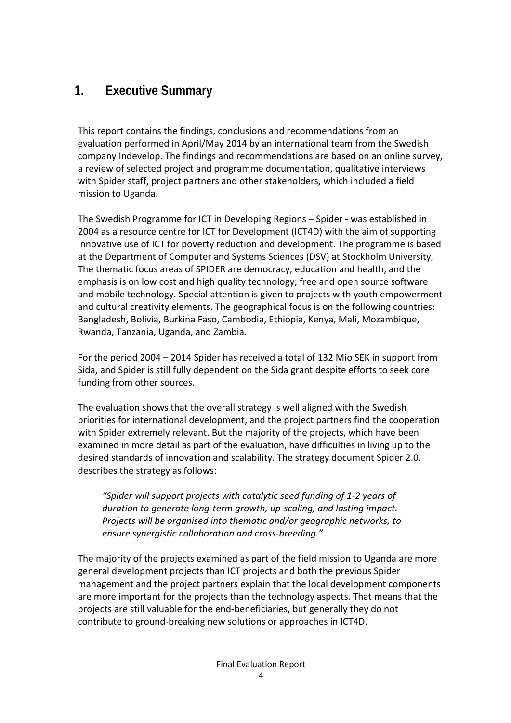## <span id="page-3-0"></span>**1. Executive Summary**

This report contains the findings, conclusions and recommendations from an evaluation performed in April/May 2014 by an international team from the Swedish company Indevelop. The findings and recommendations are based on an online survey, a review of selected project and programme documentation, qualitative interviews with Spider staff, project partners and other stakeholders, which included a field mission to Uganda.

The Swedish Programme for ICT in Developing Regions – Spider - was established in 2004 as a resource centre for ICT for Development (ICT4D) with the aim of supporting innovative use of ICT for poverty reduction and development. The programme is based at the Department of Computer and Systems Sciences (DSV) at Stockholm University, The thematic focus areas of SPIDER are democracy, education and health, and the emphasis is on low cost and high quality technology; free and open source software and mobile technology. Special attention is given to projects with youth empowerment and cultural creativity elements. The geographical focus is on the following countries: Bangladesh, Bolivia, Burkina Faso, Cambodia, Ethiopia, Kenya, Mali, Mozambique, Rwanda, Tanzania, Uganda, and Zambia.

For the period 2004 – 2014 Spider has received a total of 132 Mio SEK in support from Sida, and Spider is still fully dependent on the Sida grant despite efforts to seek core funding from other sources.

The evaluation shows that the overall strategy is well aligned with the Swedish priorities for international development, and the project partners find the cooperation with Spider extremely relevant. But the majority of the projects, which have been examined in more detail as part of the evaluation, have difficulties in living up to the desired standards of innovation and scalability. The strategy document Spider 2.0. describes the strategy as follows:

*"Spider will support projects with catalytic seed funding of 1-2 years of duration to generate long-term growth, up-scaling, and lasting impact. Projects will be organised into thematic and/or geographic networks, to ensure synergistic collaboration and cross-breeding."*

The majority of the projects examined as part of the field mission to Uganda are more general development projects than ICT projects and both the previous Spider management and the project partners explain that the local development components are more important for the projects than the technology aspects. That means that the projects are still valuable for the end-beneficiaries, but generally they do not contribute to ground-breaking new solutions or approaches in ICT4D.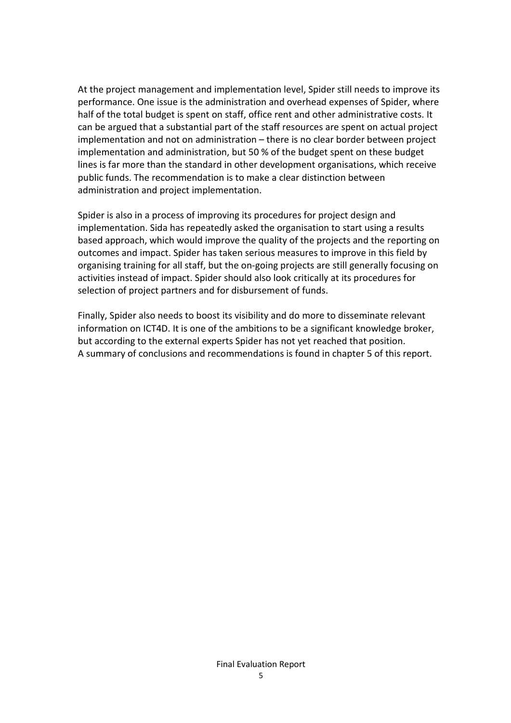At the project management and implementation level, Spider still needs to improve its performance. One issue is the administration and overhead expenses of Spider, where half of the total budget is spent on staff, office rent and other administrative costs. It can be argued that a substantial part of the staff resources are spent on actual project implementation and not on administration – there is no clear border between project implementation and administration, but 50 % of the budget spent on these budget lines is far more than the standard in other development organisations, which receive public funds. The recommendation is to make a clear distinction between administration and project implementation.

Spider is also in a process of improving its procedures for project design and implementation. Sida has repeatedly asked the organisation to start using a results based approach, which would improve the quality of the projects and the reporting on outcomes and impact. Spider has taken serious measures to improve in this field by organising training for all staff, but the on-going projects are still generally focusing on activities instead of impact. Spider should also look critically at its procedures for selection of project partners and for disbursement of funds.

Finally, Spider also needs to boost its visibility and do more to disseminate relevant information on ICT4D. It is one of the ambitions to be a significant knowledge broker, but according to the external experts Spider has not yet reached that position. A summary of conclusions and recommendations is found in chapter 5 of this report.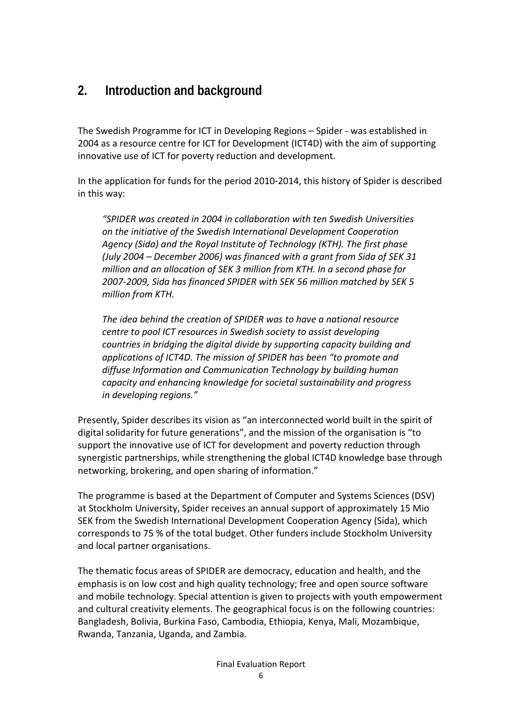## <span id="page-5-0"></span>**2. Introduction and background**

The Swedish Programme for ICT in Developing Regions – Spider - was established in 2004 as a resource centre for ICT for Development (ICT4D) with the aim of supporting innovative use of ICT for poverty reduction and development.

In the application for funds for the period 2010-2014, this history of Spider is described in this way:

*"SPIDER was created in 2004 in collaboration with ten Swedish Universities on the initiative of the Swedish International Development Cooperation Agency (Sida) and the Royal Institute of Technology (KTH). The first phase (July 2004 – December 2006) was financed with a grant from Sida of SEK 31 million and an allocation of SEK 3 million from KTH. In a second phase for 2007-2009, Sida has financed SPIDER with SEK 56 million matched by SEK 5 million from KTH.*

*The idea behind the creation of SPIDER was to have a national resource centre to pool ICT resources in Swedish society to assist developing countries in bridging the digital divide by supporting capacity building and applications of ICT4D. The mission of SPIDER has been "to promote and diffuse Information and Communication Technology by building human capacity and enhancing knowledge for societal sustainability and progress in developing regions."* 

Presently, Spider describes its vision as "an interconnected world built in the spirit of digital solidarity for future generations", and the mission of the organisation is "to support the innovative use of ICT for development and poverty reduction through synergistic partnerships, while strengthening the global ICT4D knowledge base through networking, brokering, and open sharing of information."

The programme is based at the Department of Computer and Systems Sciences (DSV) at Stockholm University, Spider receives an annual support of approximately 15 Mio SEK from the Swedish International Development Cooperation Agency (Sida), which corresponds to 75 % of the total budget. Other funders include Stockholm University and local partner organisations.

The thematic focus areas of SPIDER are democracy, education and health, and the emphasis is on low cost and high quality technology; free and open source software and mobile technology. Special attention is given to projects with youth empowerment and cultural creativity elements. The geographical focus is on the following countries: Bangladesh, Bolivia, Burkina Faso, Cambodia, Ethiopia, Kenya, Mali, Mozambique, Rwanda, Tanzania, Uganda, and Zambia.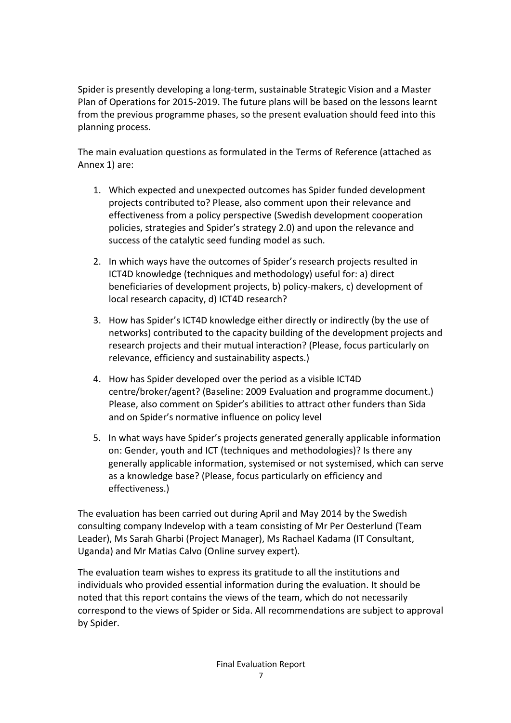Spider is presently developing a long-term, sustainable Strategic Vision and a Master Plan of Operations for 2015-2019. The future plans will be based on the lessons learnt from the previous programme phases, so the present evaluation should feed into this planning process.

The main evaluation questions as formulated in the Terms of Reference (attached as Annex 1) are:

- 1. Which expected and unexpected outcomes has Spider funded development projects contributed to? Please, also comment upon their relevance and effectiveness from a policy perspective (Swedish development cooperation policies, strategies and Spider's strategy 2.0) and upon the relevance and success of the catalytic seed funding model as such.
- 2. In which ways have the outcomes of Spider's research projects resulted in ICT4D knowledge (techniques and methodology) useful for: a) direct beneficiaries of development projects, b) policy-makers, c) development of local research capacity, d) ICT4D research?
- 3. How has Spider's ICT4D knowledge either directly or indirectly (by the use of networks) contributed to the capacity building of the development projects and research projects and their mutual interaction? (Please, focus particularly on relevance, efficiency and sustainability aspects.)
- 4. How has Spider developed over the period as a visible ICT4D centre/broker/agent? (Baseline: 2009 Evaluation and programme document.) Please, also comment on Spider's abilities to attract other funders than Sida and on Spider's normative influence on policy level
- 5. In what ways have Spider's projects generated generally applicable information on: Gender, youth and ICT (techniques and methodologies)? Is there any generally applicable information, systemised or not systemised, which can serve as a knowledge base? (Please, focus particularly on efficiency and effectiveness.)

The evaluation has been carried out during April and May 2014 by the Swedish consulting company Indevelop with a team consisting of Mr Per Oesterlund (Team Leader), Ms Sarah Gharbi (Project Manager), Ms Rachael Kadama (IT Consultant, Uganda) and Mr Matias Calvo (Online survey expert).

The evaluation team wishes to express its gratitude to all the institutions and individuals who provided essential information during the evaluation. It should be noted that this report contains the views of the team, which do not necessarily correspond to the views of Spider or Sida. All recommendations are subject to approval by Spider.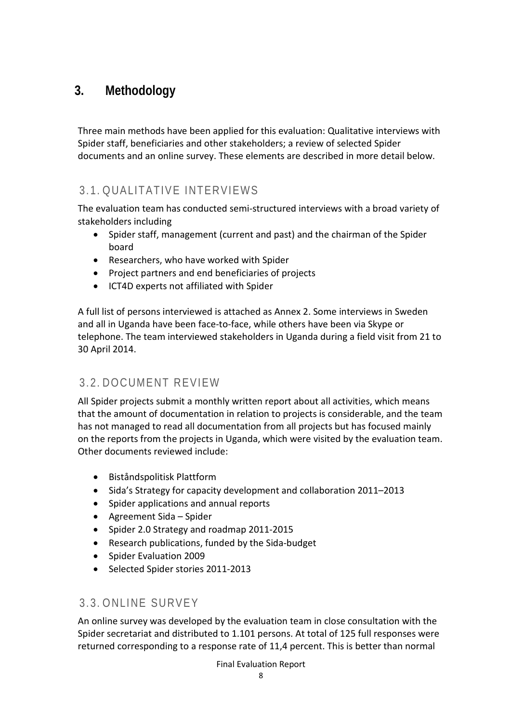## <span id="page-7-0"></span>**3. Methodology**

Three main methods have been applied for this evaluation: Qualitative interviews with Spider staff, beneficiaries and other stakeholders; a review of selected Spider documents and an online survey. These elements are described in more detail below.

## <span id="page-7-1"></span>3.1. QUALITATIVE INTERVIEWS

The evaluation team has conducted semi-structured interviews with a broad variety of stakeholders including

- Spider staff, management (current and past) and the chairman of the Spider board
- Researchers, who have worked with Spider
- Project partners and end beneficiaries of projects
- ICT4D experts not affiliated with Spider

A full list of persons interviewed is attached as Annex 2. Some interviews in Sweden and all in Uganda have been face-to-face, while others have been via Skype or telephone. The team interviewed stakeholders in Uganda during a field visit from 21 to 30 April 2014.

## <span id="page-7-2"></span>3.2. DOCUMENT REVIEW

All Spider projects submit a monthly written report about all activities, which means that the amount of documentation in relation to projects is considerable, and the team has not managed to read all documentation from all projects but has focused mainly on the reports from the projects in Uganda, which were visited by the evaluation team. Other documents reviewed include:

- Biståndspolitisk Plattform
- Sida's Strategy for capacity development and collaboration 2011–2013
- Spider applications and annual reports
- Agreement Sida Spider
- Spider 2.0 Strategy and roadmap 2011-2015
- Research publications, funded by the Sida-budget
- Spider Evaluation 2009
- Selected Spider stories 2011-2013

## <span id="page-7-3"></span>3.3. ONLINE SURVEY

An online survey was developed by the evaluation team in close consultation with the Spider secretariat and distributed to 1.101 persons. At total of 125 full responses were returned corresponding to a response rate of 11,4 percent. This is better than normal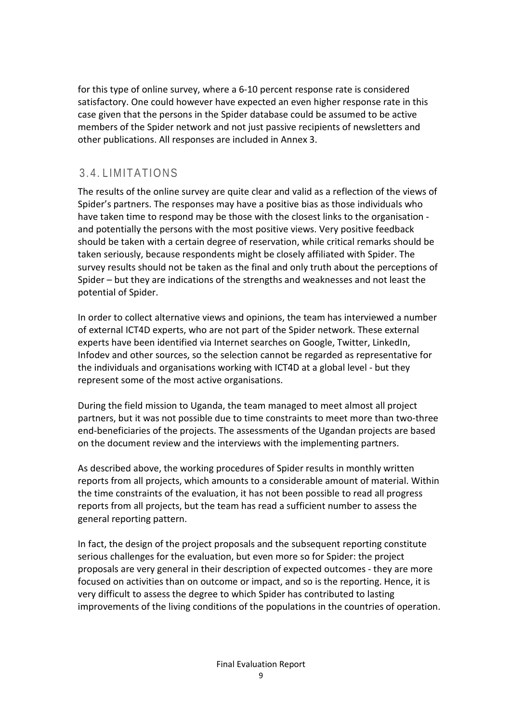for this type of online survey, where a 6-10 percent response rate is considered satisfactory. One could however have expected an even higher response rate in this case given that the persons in the Spider database could be assumed to be active members of the Spider network and not just passive recipients of newsletters and other publications. All responses are included in Annex 3.

## <span id="page-8-0"></span>3.4. LIMITATIONS

The results of the online survey are quite clear and valid as a reflection of the views of Spider's partners. The responses may have a positive bias as those individuals who have taken time to respond may be those with the closest links to the organisation and potentially the persons with the most positive views. Very positive feedback should be taken with a certain degree of reservation, while critical remarks should be taken seriously, because respondents might be closely affiliated with Spider. The survey results should not be taken as the final and only truth about the perceptions of Spider – but they are indications of the strengths and weaknesses and not least the potential of Spider.

In order to collect alternative views and opinions, the team has interviewed a number of external ICT4D experts, who are not part of the Spider network. These external experts have been identified via Internet searches on Google, Twitter, LinkedIn, Infodev and other sources, so the selection cannot be regarded as representative for the individuals and organisations working with ICT4D at a global level - but they represent some of the most active organisations.

During the field mission to Uganda, the team managed to meet almost all project partners, but it was not possible due to time constraints to meet more than two-three end-beneficiaries of the projects. The assessments of the Ugandan projects are based on the document review and the interviews with the implementing partners.

As described above, the working procedures of Spider results in monthly written reports from all projects, which amounts to a considerable amount of material. Within the time constraints of the evaluation, it has not been possible to read all progress reports from all projects, but the team has read a sufficient number to assess the general reporting pattern.

In fact, the design of the project proposals and the subsequent reporting constitute serious challenges for the evaluation, but even more so for Spider: the project proposals are very general in their description of expected outcomes - they are more focused on activities than on outcome or impact, and so is the reporting. Hence, it is very difficult to assess the degree to which Spider has contributed to lasting improvements of the living conditions of the populations in the countries of operation.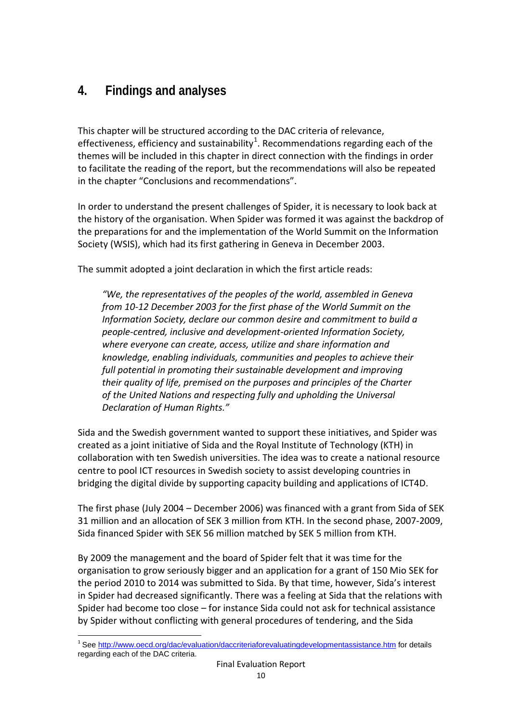## <span id="page-9-0"></span>**4. Findings and analyses**

This chapter will be structured according to the DAC criteria of relevance, effectiveness, efficiency and sustainability<sup>[1](#page-9-1)</sup>. Recommendations regarding each of the themes will be included in this chapter in direct connection with the findings in order to facilitate the reading of the report, but the recommendations will also be repeated in the chapter "Conclusions and recommendations".

In order to understand the present challenges of Spider, it is necessary to look back at the history of the organisation. When Spider was formed it was against the backdrop of the preparations for and the implementation of the World Summit on the Information Society (WSIS), which had its first gathering in Geneva in December 2003.

The summit adopted a joint declaration in which the first article reads:

*"We, the representatives of the peoples of the world, assembled in Geneva from 10-12 December 2003 for the first phase of the World Summit on the Information Society, declare our common desire and commitment to build a people-centred, inclusive and development-oriented Information Society, where everyone can create, access, utilize and share information and knowledge, enabling individuals, communities and peoples to achieve their full potential in promoting their sustainable development and improving their quality of life, premised on the purposes and principles of the Charter of the United Nations and respecting fully and upholding the Universal Declaration of Human Rights."* 

Sida and the Swedish government wanted to support these initiatives, and Spider was created as a joint initiative of Sida and the Royal Institute of Technology (KTH) in collaboration with ten Swedish universities. The idea was to create a national resource centre to pool ICT resources in Swedish society to assist developing countries in bridging the digital divide by supporting capacity building and applications of ICT4D.

The first phase (July 2004 – December 2006) was financed with a grant from Sida of SEK 31 million and an allocation of SEK 3 million from KTH. In the second phase, 2007-2009, Sida financed Spider with SEK 56 million matched by SEK 5 million from KTH.

By 2009 the management and the board of Spider felt that it was time for the organisation to grow seriously bigger and an application for a grant of 150 Mio SEK for the period 2010 to 2014 was submitted to Sida. By that time, however, Sida's interest in Spider had decreased significantly. There was a feeling at Sida that the relations with Spider had become too close – for instance Sida could not ask for technical assistance by Spider without conflicting with general procedures of tendering, and the Sida

**.** 

<span id="page-9-1"></span><sup>&</sup>lt;sup>1</sup> See<http://www.oecd.org/dac/evaluation/daccriteriaforevaluatingdevelopmentassistance.htm> for details regarding each of the DAC criteria.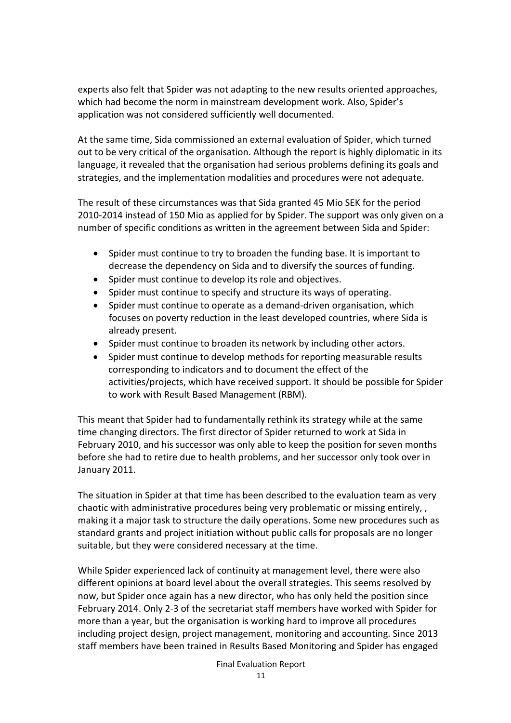experts also felt that Spider was not adapting to the new results oriented approaches, which had become the norm in mainstream development work. Also, Spider's application was not considered sufficiently well documented.

At the same time, Sida commissioned an external evaluation of Spider, which turned out to be very critical of the organisation. Although the report is highly diplomatic in its language, it revealed that the organisation had serious problems defining its goals and strategies, and the implementation modalities and procedures were not adequate.

The result of these circumstances was that Sida granted 45 Mio SEK for the period 2010-2014 instead of 150 Mio as applied for by Spider. The support was only given on a number of specific conditions as written in the agreement between Sida and Spider:

- Spider must continue to try to broaden the funding base. It is important to decrease the dependency on Sida and to diversify the sources of funding.
- Spider must continue to develop its role and objectives.
- Spider must continue to specify and structure its ways of operating.
- Spider must continue to operate as a demand-driven organisation, which focuses on poverty reduction in the least developed countries, where Sida is already present.
- Spider must continue to broaden its network by including other actors.
- Spider must continue to develop methods for reporting measurable results corresponding to indicators and to document the effect of the activities/projects, which have received support. It should be possible for Spider to work with Result Based Management (RBM).

This meant that Spider had to fundamentally rethink its strategy while at the same time changing directors. The first director of Spider returned to work at Sida in February 2010, and his successor was only able to keep the position for seven months before she had to retire due to health problems, and her successor only took over in January 2011.

The situation in Spider at that time has been described to the evaluation team as very chaotic with administrative procedures being very problematic or missing entirely, , making it a major task to structure the daily operations. Some new procedures such as standard grants and project initiation without public calls for proposals are no longer suitable, but they were considered necessary at the time.

While Spider experienced lack of continuity at management level, there were also different opinions at board level about the overall strategies. This seems resolved by now, but Spider once again has a new director, who has only held the position since February 2014. Only 2-3 of the secretariat staff members have worked with Spider for more than a year, but the organisation is working hard to improve all procedures including project design, project management, monitoring and accounting. Since 2013 staff members have been trained in Results Based Monitoring and Spider has engaged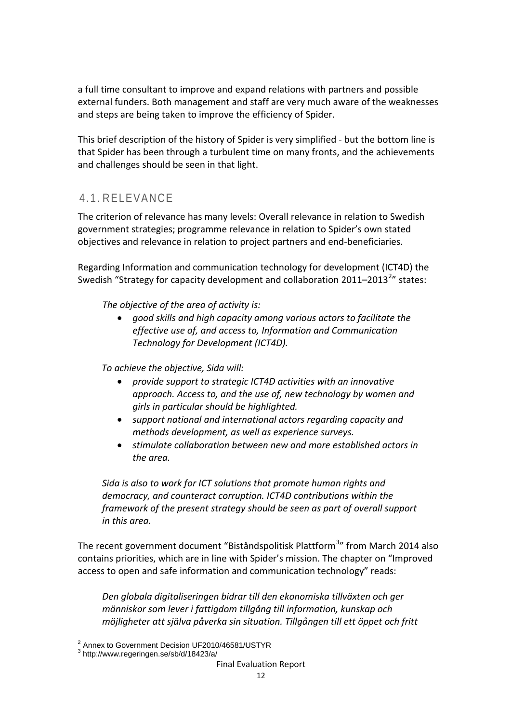a full time consultant to improve and expand relations with partners and possible external funders. Both management and staff are very much aware of the weaknesses and steps are being taken to improve the efficiency of Spider.

This brief description of the history of Spider is very simplified - but the bottom line is that Spider has been through a turbulent time on many fronts, and the achievements and challenges should be seen in that light.

## <span id="page-11-0"></span>4.1. RELEVANCE

The criterion of relevance has many levels: Overall relevance in relation to Swedish government strategies; programme relevance in relation to Spider's own stated objectives and relevance in relation to project partners and end-beneficiaries.

Regarding Information and communication technology for development (ICT4D) the Swedish "Strategy for capacity development and collaboration [2](#page-11-1)011–2013<sup>2</sup>" states:

*The objective of the area of activity is:*

• *good skills and high capacity among various actors to facilitate the effective use of, and access to, Information and Communication Technology for Development (ICT4D).*

*To achieve the objective, Sida will:*

- *provide support to strategic ICT4D activities with an innovative approach. Access to, and the use of, new technology by women and girls in particular should be highlighted.*
- *support national and international actors regarding capacity and methods development, as well as experience surveys.*
- *stimulate collaboration between new and more established actors in the area.*

*Sida is also to work for ICT solutions that promote human rights and democracy, and counteract corruption. ICT4D contributions within the framework of the present strategy should be seen as part of overall support in this area.*

The recent government document "Biståndspolitisk Plattform<sup>[3](#page-11-2)</sup>" from March 2014 also contains priorities, which are in line with Spider's mission. The chapter on "Improved access to open and safe information and communication technology" reads:

*Den globala digitaliseringen bidrar till den ekonomiska tillväxten och ger människor som lever i fattigdom tillgång till information, kunskap och möjligheter att själva påverka sin situation. Tillgången till ett öppet och fritt* 

 $\overline{a}$  $^2$  Annex to Government Decision UF2010/46581/USTYR<br> $^3$  http://www.regeringen.se/sb/d/18423/a/

<span id="page-11-2"></span><span id="page-11-1"></span>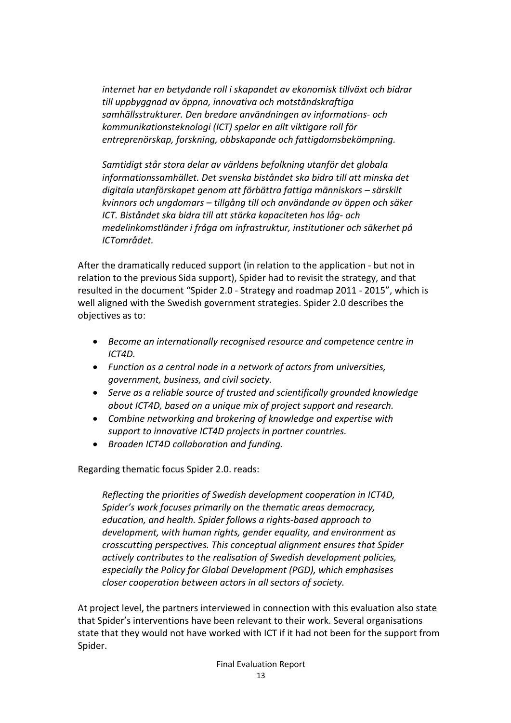*internet har en betydande roll i skapandet av ekonomisk tillväxt och bidrar till uppbyggnad av öppna, innovativa och motståndskraftiga samhällsstrukturer. Den bredare användningen av informations- och kommunikationsteknologi (ICT) spelar en allt viktigare roll för entreprenörskap, forskning, obbskapande och fattigdomsbekämpning.*

*Samtidigt står stora delar av världens befolkning utanför det globala informationssamhället. Det svenska biståndet ska bidra till att minska det digitala utanförskapet genom att förbättra fattiga människors – särskilt kvinnors och ungdomars – tillgång till och användande av öppen och säker ICT. Biståndet ska bidra till att stärka kapaciteten hos låg- och medelinkomstländer i fråga om infrastruktur, institutioner och säkerhet på ICTområdet.*

After the dramatically reduced support (in relation to the application - but not in relation to the previous Sida support), Spider had to revisit the strategy, and that resulted in the document "Spider 2.0 - Strategy and roadmap 2011 - 2015", which is well aligned with the Swedish government strategies. Spider 2.0 describes the objectives as to:

- *Become an internationally recognised resource and competence centre in ICT4D.*
- *Function as a central node in a network of actors from universities, government, business, and civil society.*
- *Serve as a reliable source of trusted and scientifically grounded knowledge about ICT4D, based on a unique mix of project support and research.*
- *Combine networking and brokering of knowledge and expertise with support to innovative ICT4D projects in partner countries.*
- *Broaden ICT4D collaboration and funding.*

Regarding thematic focus Spider 2.0. reads:

*Reflecting the priorities of Swedish development cooperation in ICT4D, Spider's work focuses primarily on the thematic areas democracy, education, and health. Spider follows a rights-based approach to development, with human rights, gender equality, and environment as crosscutting perspectives. This conceptual alignment ensures that Spider actively contributes to the realisation of Swedish development policies, especially the Policy for Global Development (PGD), which emphasises closer cooperation between actors in all sectors of society.*

At project level, the partners interviewed in connection with this evaluation also state that Spider's interventions have been relevant to their work. Several organisations state that they would not have worked with ICT if it had not been for the support from Spider.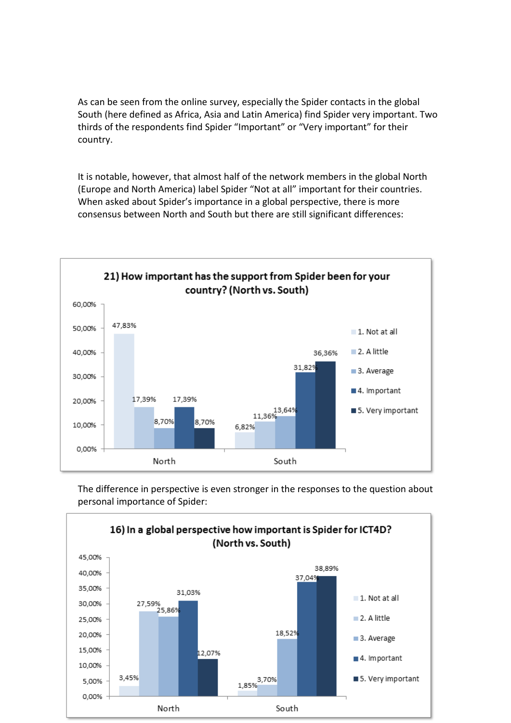As can be seen from the online survey, especially the Spider contacts in the global South (here defined as Africa, Asia and Latin America) find Spider very important. Two thirds of the respondents find Spider "Important" or "Very important" for their country.

It is notable, however, that almost half of the network members in the global North (Europe and North America) label Spider "Not at all" important for their countries. When asked about Spider's importance in a global perspective, there is more consensus between North and South but there are still significant differences:



The difference in perspective is even stronger in the responses to the question about personal importance of Spider:

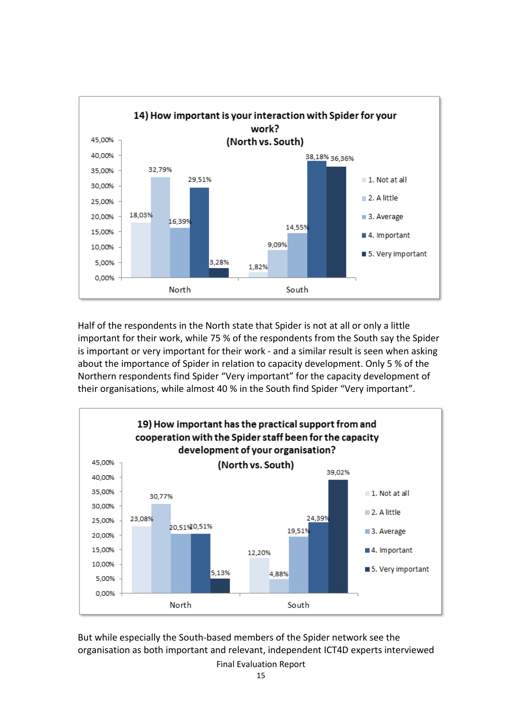

Half of the respondents in the North state that Spider is not at all or only a little important for their work, while 75 % of the respondents from the South say the Spider is important or very important for their work - and a similar result is seen when asking about the importance of Spider in relation to capacity development. Only 5 % of the Northern respondents find Spider "Very important" for the capacity development of their organisations, while almost 40 % in the South find Spider "Very important".



But while especially the South-based members of the Spider network see the organisation as both important and relevant, independent ICT4D experts interviewed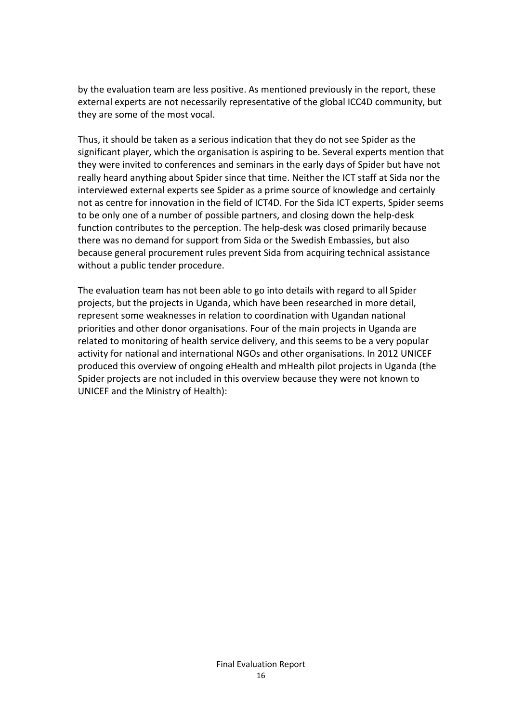by the evaluation team are less positive. As mentioned previously in the report, these external experts are not necessarily representative of the global ICC4D community, but they are some of the most vocal.

Thus, it should be taken as a serious indication that they do not see Spider as the significant player, which the organisation is aspiring to be. Several experts mention that they were invited to conferences and seminars in the early days of Spider but have not really heard anything about Spider since that time. Neither the ICT staff at Sida nor the interviewed external experts see Spider as a prime source of knowledge and certainly not as centre for innovation in the field of ICT4D. For the Sida ICT experts, Spider seems to be only one of a number of possible partners, and closing down the help-desk function contributes to the perception. The help-desk was closed primarily because there was no demand for support from Sida or the Swedish Embassies, but also because general procurement rules prevent Sida from acquiring technical assistance without a public tender procedure.

The evaluation team has not been able to go into details with regard to all Spider projects, but the projects in Uganda, which have been researched in more detail, represent some weaknesses in relation to coordination with Ugandan national priorities and other donor organisations. Four of the main projects in Uganda are related to monitoring of health service delivery, and this seems to be a very popular activity for national and international NGOs and other organisations. In 2012 UNICEF produced this overview of ongoing eHealth and mHealth pilot projects in Uganda (the Spider projects are not included in this overview because they were not known to UNICEF and the Ministry of Health):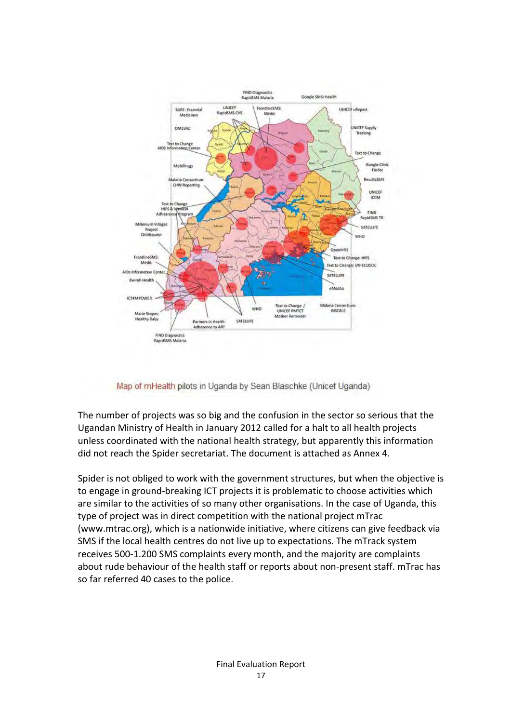

Map of mHealth pilots in Uganda by Sean Blaschke (Unicef Uganda)

The number of projects was so big and the confusion in the sector so serious that the Ugandan Ministry of Health in January 2012 called for a halt to all health projects unless coordinated with the national health strategy, but apparently this information did not reach the Spider secretariat. The document is attached as Annex 4.

Spider is not obliged to work with the government structures, but when the objective is to engage in ground-breaking ICT projects it is problematic to choose activities which are similar to the activities of so many other organisations. In the case of Uganda, this type of project was in direct competition with the national project mTrac (www.mtrac.org), which is a nationwide initiative, where citizens can give feedback via SMS if the local health centres do not live up to expectations. The mTrack system receives 500-1.200 SMS complaints every month, and the majority are complaints about rude behaviour of the health staff or reports about non-present staff. mTrac has so far referred 40 cases to the police.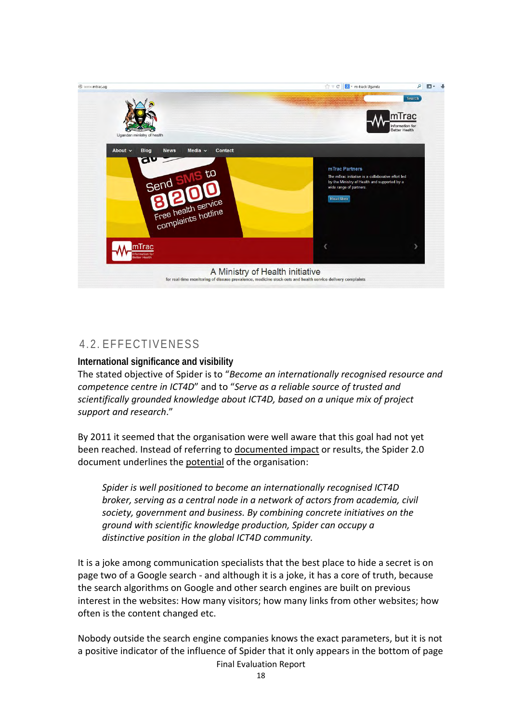

## <span id="page-17-0"></span>4.2. EFFECTIVENESS

#### **International significance and visibility**

The stated objective of Spider is to "*Become an internationally recognised resource and competence centre in ICT4D*" and to "*Serve as a reliable source of trusted and scientifically grounded knowledge about ICT4D, based on a unique mix of project support and research*."

By 2011 it seemed that the organisation were well aware that this goal had not yet been reached. Instead of referring to documented impact or results, the Spider 2.0 document underlines the potential of the organisation:

*Spider is well positioned to become an internationally recognised ICT4D broker, serving as a central node in a network of actors from academia, civil society, government and business. By combining concrete initiatives on the ground with scientific knowledge production, Spider can occupy a distinctive position in the global ICT4D community.*

It is a joke among communication specialists that the best place to hide a secret is on page two of a Google search - and although it is a joke, it has a core of truth, because the search algorithms on Google and other search engines are built on previous interest in the websites: How many visitors; how many links from other websites; how often is the content changed etc.

Nobody outside the search engine companies knows the exact parameters, but it is not a positive indicator of the influence of Spider that it only appears in the bottom of page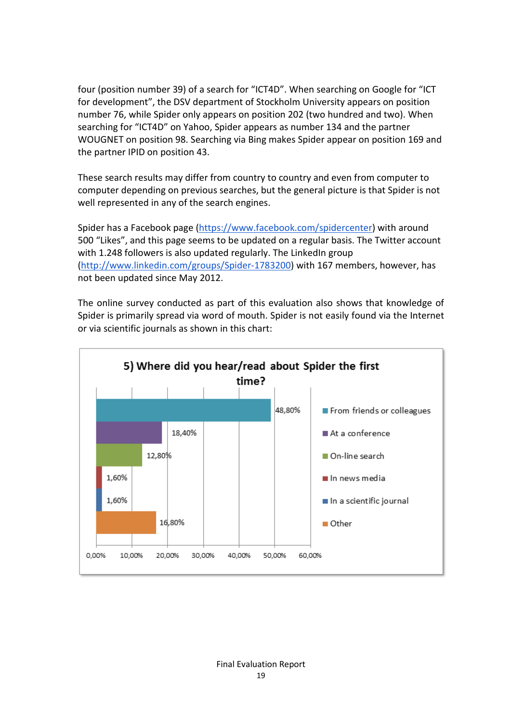four (position number 39) of a search for "ICT4D". When searching on Google for "ICT for development", the DSV department of Stockholm University appears on position number 76, while Spider only appears on position 202 (two hundred and two). When searching for "ICT4D" on Yahoo, Spider appears as number 134 and the partner WOUGNET on position 98. Searching via Bing makes Spider appear on position 169 and the partner IPID on position 43.

These search results may differ from country to country and even from computer to computer depending on previous searches, but the general picture is that Spider is not well represented in any of the search engines.

Spider has a Facebook page [\(https://www.facebook.com/spidercenter\)](https://www.facebook.com/spidercenter) with around 500 "Likes", and this page seems to be updated on a regular basis. The Twitter account with 1.248 followers is also updated regularly. The LinkedIn group [\(http://www.linkedin.com/groups/Spider-1783200\)](http://www.linkedin.com/groups/Spider-1783200) with 167 members, however, has not been updated since May 2012.

The online survey conducted as part of this evaluation also shows that knowledge of Spider is primarily spread via word of mouth. Spider is not easily found via the Internet or via scientific journals as shown in this chart:

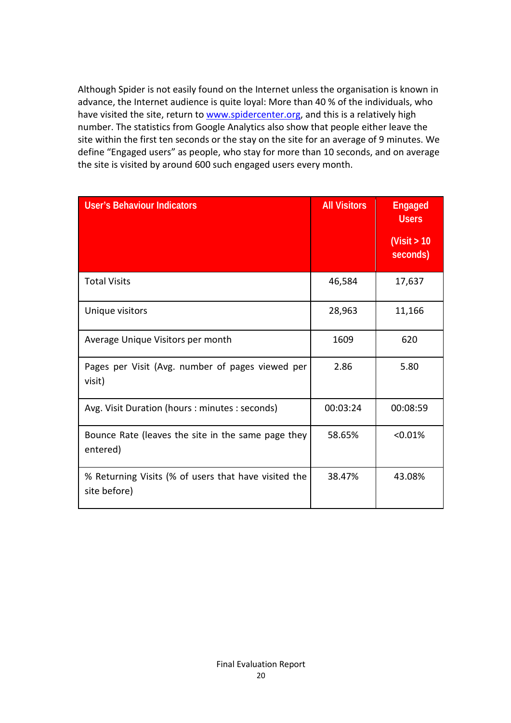Although Spider is not easily found on the Internet unless the organisation is known in advance, the Internet audience is quite loyal: More than 40 % of the individuals, who have visited the site, return to [www.spidercenter.org,](http://www.spidercenter.org/) and this is a relatively high number. The statistics from Google Analytics also show that people either leave the site within the first ten seconds or the stay on the site for an average of 9 minutes. We define "Engaged users" as people, who stay for more than 10 seconds, and on average the site is visited by around 600 such engaged users every month.

| <b>User's Behaviour Indicators</b>                                   | <b>All Visitors</b> | <b>Engaged</b><br><b>Users</b><br>(Visit $> 10$<br>seconds) |
|----------------------------------------------------------------------|---------------------|-------------------------------------------------------------|
| <b>Total Visits</b>                                                  | 46,584              | 17,637                                                      |
| Unique visitors                                                      | 28,963              | 11,166                                                      |
| Average Unique Visitors per month                                    | 1609                | 620                                                         |
| Pages per Visit (Avg. number of pages viewed per<br>visit)           | 2.86                | 5.80                                                        |
| Avg. Visit Duration (hours : minutes : seconds)                      | 00:03:24            | 00:08:59                                                    |
| Bounce Rate (leaves the site in the same page they<br>entered)       | 58.65%              | < 0.01%                                                     |
| % Returning Visits (% of users that have visited the<br>site before) | 38.47%              | 43.08%                                                      |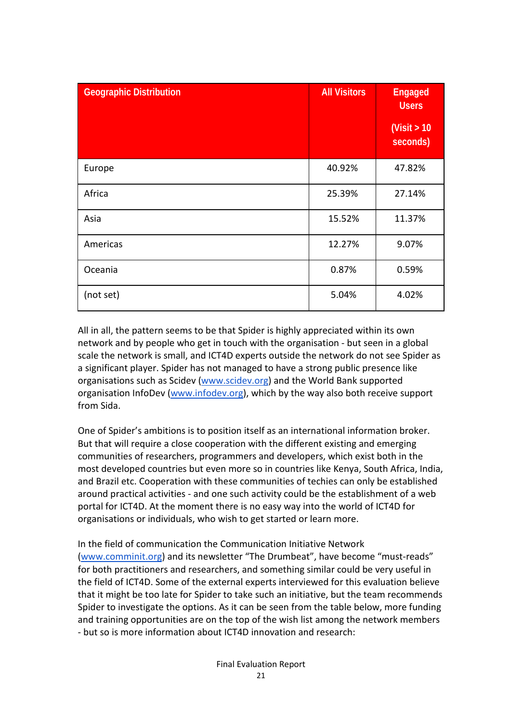| <b>Geographic Distribution</b> | <b>All Visitors</b> | <b>Engaged</b><br><b>Users</b> |
|--------------------------------|---------------------|--------------------------------|
|                                |                     | (Visit $> 10$<br>seconds)      |
| Europe                         | 40.92%              | 47.82%                         |
| Africa                         | 25.39%              | 27.14%                         |
| Asia                           | 15.52%              | 11.37%                         |
| Americas                       | 12.27%              | 9.07%                          |
| Oceania                        | 0.87%               | 0.59%                          |
| (not set)                      | 5.04%               | 4.02%                          |

All in all, the pattern seems to be that Spider is highly appreciated within its own network and by people who get in touch with the organisation - but seen in a global scale the network is small, and ICT4D experts outside the network do not see Spider as a significant player. Spider has not managed to have a strong public presence like organisations such as Scidev [\(www.scidev.org\)](http://www.scidev.org/) and the World Bank supported organisation InfoDev [\(www.infodev.org\)](http://www.infodev.org/), which by the way also both receive support from Sida.

One of Spider's ambitions is to position itself as an international information broker. But that will require a close cooperation with the different existing and emerging communities of researchers, programmers and developers, which exist both in the most developed countries but even more so in countries like Kenya, South Africa, India, and Brazil etc. Cooperation with these communities of techies can only be established around practical activities - and one such activity could be the establishment of a web portal for ICT4D. At the moment there is no easy way into the world of ICT4D for organisations or individuals, who wish to get started or learn more.

In the field of communication the Communication Initiative Network [\(www.comminit.org\)](http://www.comminit.org/) and its newsletter "The Drumbeat", have become "must-reads" for both practitioners and researchers, and something similar could be very useful in the field of ICT4D. Some of the external experts interviewed for this evaluation believe that it might be too late for Spider to take such an initiative, but the team recommends Spider to investigate the options. As it can be seen from the table below, more funding and training opportunities are on the top of the wish list among the network members - but so is more information about ICT4D innovation and research: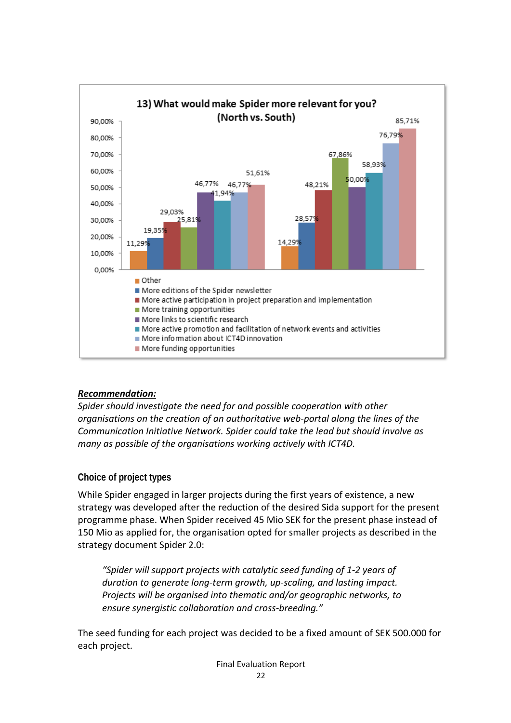

#### *Recommendation:*

*Spider should investigate the need for and possible cooperation with other organisations on the creation of an authoritative web-portal along the lines of the Communication Initiative Network. Spider could take the lead but should involve as many as possible of the organisations working actively with ICT4D.*

#### **Choice of project types**

While Spider engaged in larger projects during the first years of existence, a new strategy was developed after the reduction of the desired Sida support for the present programme phase. When Spider received 45 Mio SEK for the present phase instead of 150 Mio as applied for, the organisation opted for smaller projects as described in the strategy document Spider 2.0:

*"Spider will support projects with catalytic seed funding of 1-2 years of duration to generate long-term growth, up-scaling, and lasting impact. Projects will be organised into thematic and/or geographic networks, to ensure synergistic collaboration and cross-breeding."*

The seed funding for each project was decided to be a fixed amount of SEK 500.000 for each project.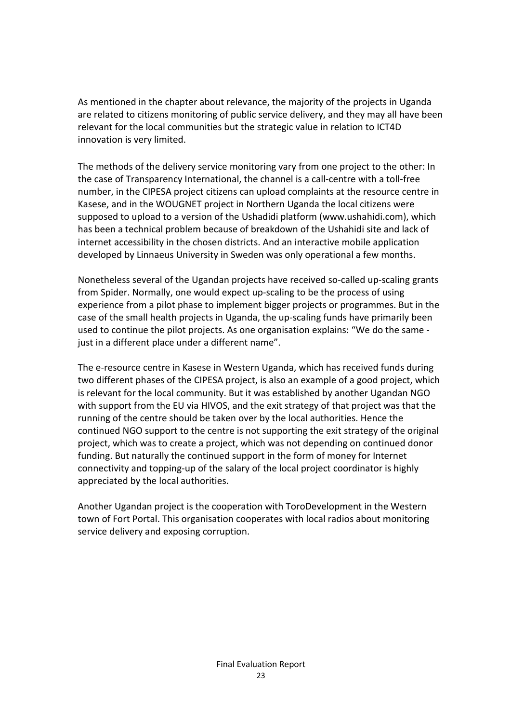As mentioned in the chapter about relevance, the majority of the projects in Uganda are related to citizens monitoring of public service delivery, and they may all have been relevant for the local communities but the strategic value in relation to ICT4D innovation is very limited.

The methods of the delivery service monitoring vary from one project to the other: In the case of Transparency International, the channel is a call-centre with a toll-free number, in the CIPESA project citizens can upload complaints at the resource centre in Kasese, and in the WOUGNET project in Northern Uganda the local citizens were supposed to upload to a version of the Ushadidi platform (www.ushahidi.com), which has been a technical problem because of breakdown of the Ushahidi site and lack of internet accessibility in the chosen districts. And an interactive mobile application developed by Linnaeus University in Sweden was only operational a few months.

Nonetheless several of the Ugandan projects have received so-called up-scaling grants from Spider. Normally, one would expect up-scaling to be the process of using experience from a pilot phase to implement bigger projects or programmes. But in the case of the small health projects in Uganda, the up-scaling funds have primarily been used to continue the pilot projects. As one organisation explains: "We do the same just in a different place under a different name".

The e-resource centre in Kasese in Western Uganda, which has received funds during two different phases of the CIPESA project, is also an example of a good project, which is relevant for the local community. But it was established by another Ugandan NGO with support from the EU via HIVOS, and the exit strategy of that project was that the running of the centre should be taken over by the local authorities. Hence the continued NGO support to the centre is not supporting the exit strategy of the original project, which was to create a project, which was not depending on continued donor funding. But naturally the continued support in the form of money for Internet connectivity and topping-up of the salary of the local project coordinator is highly appreciated by the local authorities.

Another Ugandan project is the cooperation with ToroDevelopment in the Western town of Fort Portal. This organisation cooperates with local radios about monitoring service delivery and exposing corruption.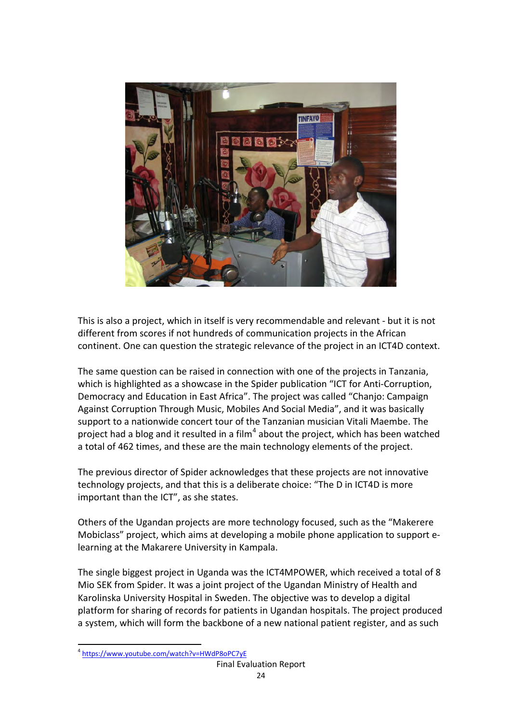

This is also a project, which in itself is very recommendable and relevant - but it is not different from scores if not hundreds of communication projects in the African continent. One can question the strategic relevance of the project in an ICT4D context.

The same question can be raised in connection with one of the projects in Tanzania, which is highlighted as a showcase in the Spider publication "ICT for Anti-Corruption, Democracy and Education in East Africa". The project was called "Chanjo: Campaign Against Corruption Through Music, Mobiles And Social Media", and it was basically support to a nationwide concert tour of the Tanzanian musician Vitali Maembe. The project had a blog and it resulted in a film<sup>[4](#page-23-0)</sup> about the project, which has been watched a total of 462 times, and these are the main technology elements of the project.

The previous director of Spider acknowledges that these projects are not innovative technology projects, and that this is a deliberate choice: "The D in ICT4D is more important than the ICT", as she states.

Others of the Ugandan projects are more technology focused, such as the "Makerere Mobiclass" project, which aims at developing a mobile phone application to support elearning at the Makarere University in Kampala.

The single biggest project in Uganda was the ICT4MPOWER, which received a total of 8 Mio SEK from Spider. It was a joint project of the Ugandan Ministry of Health and Karolinska University Hospital in Sweden. The objective was to develop a digital platform for sharing of records for patients in Ugandan hospitals. The project produced a system, which will form the backbone of a new national patient register, and as such

<span id="page-23-0"></span> $\overline{a}$ <sup>4</sup> <https://www.youtube.com/watch?v=HWdP8oPC7yE>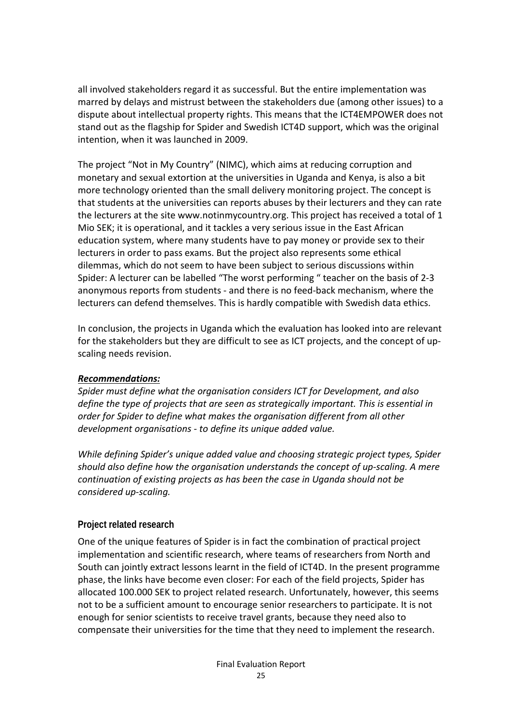all involved stakeholders regard it as successful. But the entire implementation was marred by delays and mistrust between the stakeholders due (among other issues) to a dispute about intellectual property rights. This means that the ICT4EMPOWER does not stand out as the flagship for Spider and Swedish ICT4D support, which was the original intention, when it was launched in 2009.

The project "Not in My Country" (NIMC), which aims at reducing corruption and monetary and sexual extortion at the universities in Uganda and Kenya, is also a bit more technology oriented than the small delivery monitoring project. The concept is that students at the universities can reports abuses by their lecturers and they can rate the lecturers at the site www.notinmycountry.org. This project has received a total of 1 Mio SEK; it is operational, and it tackles a very serious issue in the East African education system, where many students have to pay money or provide sex to their lecturers in order to pass exams. But the project also represents some ethical dilemmas, which do not seem to have been subject to serious discussions within Spider: A lecturer can be labelled "The worst performing " teacher on the basis of 2-3 anonymous reports from students - and there is no feed-back mechanism, where the lecturers can defend themselves. This is hardly compatible with Swedish data ethics.

In conclusion, the projects in Uganda which the evaluation has looked into are relevant for the stakeholders but they are difficult to see as ICT projects, and the concept of upscaling needs revision.

#### *Recommendations:*

*Spider must define what the organisation considers ICT for Development, and also define the type of projects that are seen as strategically important. This is essential in order for Spider to define what makes the organisation different from all other development organisations - to define its unique added value.* 

*While defining Spider's unique added value and choosing strategic project types, Spider should also define how the organisation understands the concept of up-scaling. A mere continuation of existing projects as has been the case in Uganda should not be considered up-scaling.*

### **Project related research**

One of the unique features of Spider is in fact the combination of practical project implementation and scientific research, where teams of researchers from North and South can jointly extract lessons learnt in the field of ICT4D. In the present programme phase, the links have become even closer: For each of the field projects, Spider has allocated 100.000 SEK to project related research. Unfortunately, however, this seems not to be a sufficient amount to encourage senior researchers to participate. It is not enough for senior scientists to receive travel grants, because they need also to compensate their universities for the time that they need to implement the research.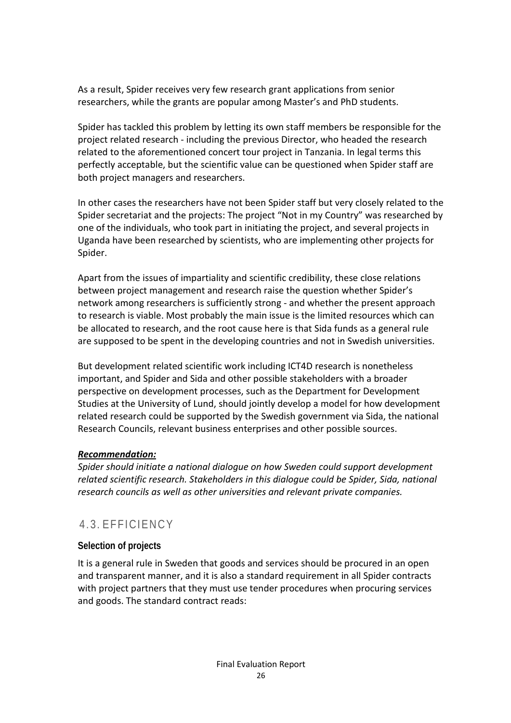As a result, Spider receives very few research grant applications from senior researchers, while the grants are popular among Master's and PhD students.

Spider has tackled this problem by letting its own staff members be responsible for the project related research - including the previous Director, who headed the research related to the aforementioned concert tour project in Tanzania. In legal terms this perfectly acceptable, but the scientific value can be questioned when Spider staff are both project managers and researchers.

In other cases the researchers have not been Spider staff but very closely related to the Spider secretariat and the projects: The project "Not in my Country" was researched by one of the individuals, who took part in initiating the project, and several projects in Uganda have been researched by scientists, who are implementing other projects for Spider.

Apart from the issues of impartiality and scientific credibility, these close relations between project management and research raise the question whether Spider's network among researchers is sufficiently strong - and whether the present approach to research is viable. Most probably the main issue is the limited resources which can be allocated to research, and the root cause here is that Sida funds as a general rule are supposed to be spent in the developing countries and not in Swedish universities.

But development related scientific work including ICT4D research is nonetheless important, and Spider and Sida and other possible stakeholders with a broader perspective on development processes, such as the Department for Development Studies at the University of Lund, should jointly develop a model for how development related research could be supported by the Swedish government via Sida, the national Research Councils, relevant business enterprises and other possible sources.

#### *Recommendation:*

*Spider should initiate a national dialogue on how Sweden could support development related scientific research. Stakeholders in this dialogue could be Spider, Sida, national research councils as well as other universities and relevant private companies.*

### <span id="page-25-0"></span>4.3. EFFICIENCY

### **Selection of projects**

It is a general rule in Sweden that goods and services should be procured in an open and transparent manner, and it is also a standard requirement in all Spider contracts with project partners that they must use tender procedures when procuring services and goods. The standard contract reads: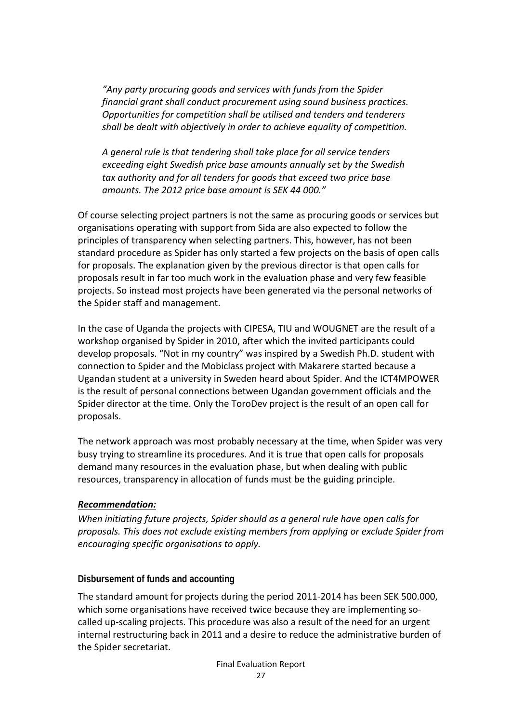*"Any party procuring goods and services with funds from the Spider financial grant shall conduct procurement using sound business practices. Opportunities for competition shall be utilised and tenders and tenderers shall be dealt with objectively in order to achieve equality of competition.*

*A general rule is that tendering shall take place for all service tenders exceeding eight Swedish price base amounts annually set by the Swedish tax authority and for all tenders for goods that exceed two price base amounts. The 2012 price base amount is SEK 44 000."*

Of course selecting project partners is not the same as procuring goods or services but organisations operating with support from Sida are also expected to follow the principles of transparency when selecting partners. This, however, has not been standard procedure as Spider has only started a few projects on the basis of open calls for proposals. The explanation given by the previous director is that open calls for proposals result in far too much work in the evaluation phase and very few feasible projects. So instead most projects have been generated via the personal networks of the Spider staff and management.

In the case of Uganda the projects with CIPESA, TIU and WOUGNET are the result of a workshop organised by Spider in 2010, after which the invited participants could develop proposals. "Not in my country" was inspired by a Swedish Ph.D. student with connection to Spider and the Mobiclass project with Makarere started because a Ugandan student at a university in Sweden heard about Spider. And the ICT4MPOWER is the result of personal connections between Ugandan government officials and the Spider director at the time. Only the ToroDev project is the result of an open call for proposals.

The network approach was most probably necessary at the time, when Spider was very busy trying to streamline its procedures. And it is true that open calls for proposals demand many resources in the evaluation phase, but when dealing with public resources, transparency in allocation of funds must be the guiding principle.

#### *Recommendation:*

*When initiating future projects, Spider should as a general rule have open calls for proposals. This does not exclude existing members from applying or exclude Spider from encouraging specific organisations to apply.* 

#### **Disbursement of funds and accounting**

The standard amount for projects during the period 2011-2014 has been SEK 500.000, which some organisations have received twice because they are implementing socalled up-scaling projects. This procedure was also a result of the need for an urgent internal restructuring back in 2011 and a desire to reduce the administrative burden of the Spider secretariat.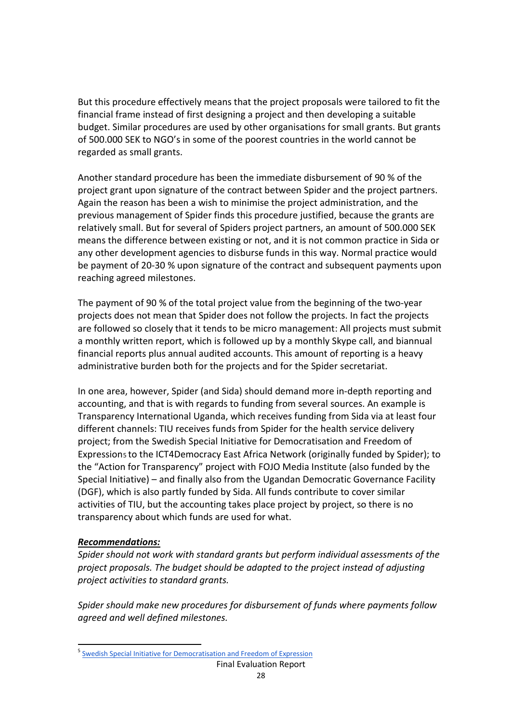But this procedure effectively means that the project proposals were tailored to fit the financial frame instead of first designing a project and then developing a suitable budget. Similar procedures are used by other organisations for small grants. But grants of 500.000 SEK to NGO's in some of the poorest countries in the world cannot be regarded as small grants.

Another standard procedure has been the immediate disbursement of 90 % of the project grant upon signature of the contract between Spider and the project partners. Again the reason has been a wish to minimise the project administration, and the previous management of Spider finds this procedure justified, because the grants are relatively small. But for several of Spiders project partners, an amount of 500.000 SEK means the difference between existing or not, and it is not common practice in Sida or any other development agencies to disburse funds in this way. Normal practice would be payment of 20-30 % upon signature of the contract and subsequent payments upon reaching agreed milestones.

The payment of 90 % of the total project value from the beginning of the two-year projects does not mean that Spider does not follow the projects. In fact the projects are followed so closely that it tends to be micro management: All projects must submit a monthly written report, which is followed up by a monthly Skype call, and biannual financial reports plus annual audited accounts. This amount of reporting is a heavy administrative burden both for the projects and for the Spider secretariat.

In one area, however, Spider (and Sida) should demand more in-depth reporting and accounting, and that is with regards to funding from several sources. An example is Transparency International Uganda, which receives funding from Sida via at least four different channels: TIU receives funds from Spider for the health service delivery project; from the Swedish Special Initiative for Democratisation and Freedom of Expressions to the ICT4Democracy East Africa Network (originally funded by Spider); to the "Action for Transparency" project with FOJO Media Institute (also funded by the Special Initiative) – and finally also from the Ugandan Democratic Governance Facility (DGF), which is also partly funded by Sida. All funds contribute to cover similar activities of TIU, but the accounting takes place project by project, so there is no transparency about which funds are used for what.

#### *Recommendations:*

 $\overline{a}$ 

*Spider should not work with standard grants but perform individual assessments of the project proposals. The budget should be adapted to the project instead of adjusting project activities to standard grants.*

*Spider should make new procedures for disbursement of funds where payments follow agreed and well defined milestones.*

<span id="page-27-0"></span><sup>&</sup>lt;sup>5</sup> [Swedish Special Initiative for Democratisation and Freedom of Expression](http://www.sida.se/Global/Partners/The%20Civil%20Society/call%20for%20proposals%20120907/Strategy%20for%20special%20initiatives%20for%20democratisation%20and%20freedom%20of%20expression%20sept%202012_ENG.pdf)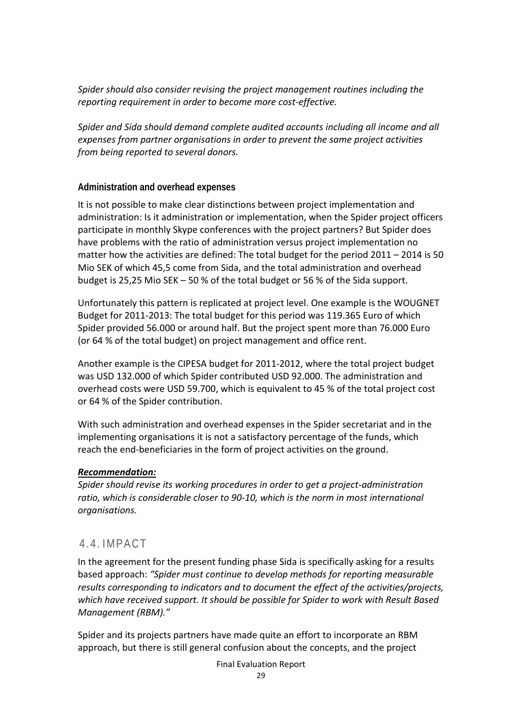*Spider should also consider revising the project management routines including the reporting requirement in order to become more cost-effective.* 

*Spider and Sida should demand complete audited accounts including all income and all expenses from partner organisations in order to prevent the same project activities from being reported to several donors.*

#### **Administration and overhead expenses**

It is not possible to make clear distinctions between project implementation and administration: Is it administration or implementation, when the Spider project officers participate in monthly Skype conferences with the project partners? But Spider does have problems with the ratio of administration versus project implementation no matter how the activities are defined: The total budget for the period 2011 – 2014 is 50 Mio SEK of which 45,5 come from Sida, and the total administration and overhead budget is 25,25 Mio SEK – 50 % of the total budget or 56 % of the Sida support.

Unfortunately this pattern is replicated at project level. One example is the WOUGNET Budget for 2011-2013: The total budget for this period was 119.365 Euro of which Spider provided 56.000 or around half. But the project spent more than 76.000 Euro (or 64 % of the total budget) on project management and office rent.

Another example is the CIPESA budget for 2011-2012, where the total project budget was USD 132.000 of which Spider contributed USD 92.000. The administration and overhead costs were USD 59.700, which is equivalent to 45 % of the total project cost or 64 % of the Spider contribution.

With such administration and overhead expenses in the Spider secretariat and in the implementing organisations it is not a satisfactory percentage of the funds, which reach the end-beneficiaries in the form of project activities on the ground.

#### *Recommendation:*

*Spider should revise its working procedures in order to get a project-administration ratio, which is considerable closer to 90-10, which is the norm in most international organisations.*

### <span id="page-28-0"></span>4.4. IMPACT

In the agreement for the present funding phase Sida is specifically asking for a results based approach: *"Spider must continue to develop methods for reporting measurable results corresponding to indicators and to document the effect of the activities/projects, which have received support. It should be possible for Spider to work with Result Based Management (RBM)."*

Spider and its projects partners have made quite an effort to incorporate an RBM approach, but there is still general confusion about the concepts, and the project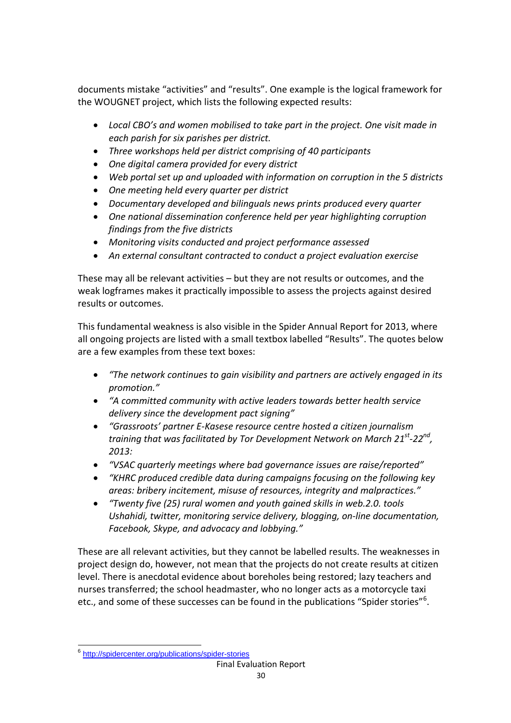documents mistake "activities" and "results". One example is the logical framework for the WOUGNET project, which lists the following expected results:

- *Local CBO's and women mobilised to take part in the project. One visit made in each parish for six parishes per district.*
- *Three workshops held per district comprising of 40 participants*
- *One digital camera provided for every district*
- *Web portal set up and uploaded with information on corruption in the 5 districts*
- *One meeting held every quarter per district*
- *Documentary developed and bilinguals news prints produced every quarter*
- *One national dissemination conference held per year highlighting corruption findings from the five districts*
- *Monitoring visits conducted and project performance assessed*
- *An external consultant contracted to conduct a project evaluation exercise*

These may all be relevant activities – but they are not results or outcomes, and the weak logframes makes it practically impossible to assess the projects against desired results or outcomes.

This fundamental weakness is also visible in the Spider Annual Report for 2013, where all ongoing projects are listed with a small textbox labelled "Results". The quotes below are a few examples from these text boxes:

- *"The network continues to gain visibility and partners are actively engaged in its promotion."*
- *"A committed community with active leaders towards better health service delivery since the development pact signing"*
- *"Grassroots' partner E-Kasese resource centre hosted a citizen journalism training that was facilitated by Tor Development Network on March 21st-22nd, 2013:*
- *"VSAC quarterly meetings where bad governance issues are raise/reported"*
- *"KHRC produced credible data during campaigns focusing on the following key areas: bribery incitement, misuse of resources, integrity and malpractices."*
- *"Twenty five (25) rural women and youth gained skills in web.2.0. tools Ushahidi, twitter, monitoring service delivery, blogging, on-line documentation, Facebook, Skype, and advocacy and lobbying."*

These are all relevant activities, but they cannot be labelled results. The weaknesses in project design do, however, not mean that the projects do not create results at citizen level. There is anecdotal evidence about boreholes being restored; lazy teachers and nurses transferred; the school headmaster, who no longer acts as a motorcycle taxi etc., and some of these successes can be found in the publications "Spider stories"<sup>[6](#page-29-0)</sup>.

<span id="page-29-0"></span> $\overline{a}$ <sup>6</sup> http://spidercenter.org/publications/spider-stories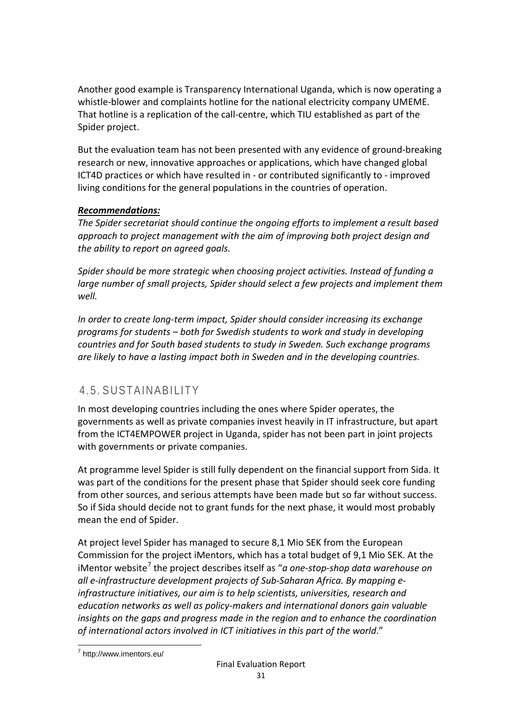Another good example is Transparency International Uganda, which is now operating a whistle-blower and complaints hotline for the national electricity company UMEME. That hotline is a replication of the call-centre, which TIU established as part of the Spider project.

But the evaluation team has not been presented with any evidence of ground-breaking research or new, innovative approaches or applications, which have changed global ICT4D practices or which have resulted in - or contributed significantly to - improved living conditions for the general populations in the countries of operation.

### *Recommendations:*

*The Spider secretariat should continue the ongoing efforts to implement a result based approach to project management with the aim of improving both project design and the ability to report on agreed goals.*

*Spider should be more strategic when choosing project activities. Instead of funding a large number of small projects, Spider should select a few projects and implement them well.*

*In order to create long-term impact, Spider should consider increasing its exchange programs for students – both for Swedish students to work and study in developing countries and for South based students to study in Sweden. Such exchange programs are likely to have a lasting impact both in Sweden and in the developing countries.*

### <span id="page-30-0"></span>4.5. SUSTAINABILITY

In most developing countries including the ones where Spider operates, the governments as well as private companies invest heavily in IT infrastructure, but apart from the ICT4EMPOWER project in Uganda, spider has not been part in joint projects with governments or private companies.

At programme level Spider is still fully dependent on the financial support from Sida. It was part of the conditions for the present phase that Spider should seek core funding from other sources, and serious attempts have been made but so far without success. So if Sida should decide not to grant funds for the next phase, it would most probably mean the end of Spider.

At project level Spider has managed to secure 8,1 Mio SEK from the European Commission for the project iMentors, which has a total budget of 9,1 Mio SEK. At the iMentor website<sup>[7](#page-30-1)</sup> the project describes itself as "*a one-stop-shop data warehouse on all e-infrastructure development projects of Sub-Saharan Africa. By mapping einfrastructure initiatives, our aim is to help scientists, universities, research and education networks as well as policy-makers and international donors gain valuable insights on the gaps and progress made in the region and to enhance the coordination of international actors involved in ICT initiatives in this part of the world*."

<span id="page-30-1"></span> $\overline{\phantom{a}}$ <sup>7</sup> http://www.imentors.eu/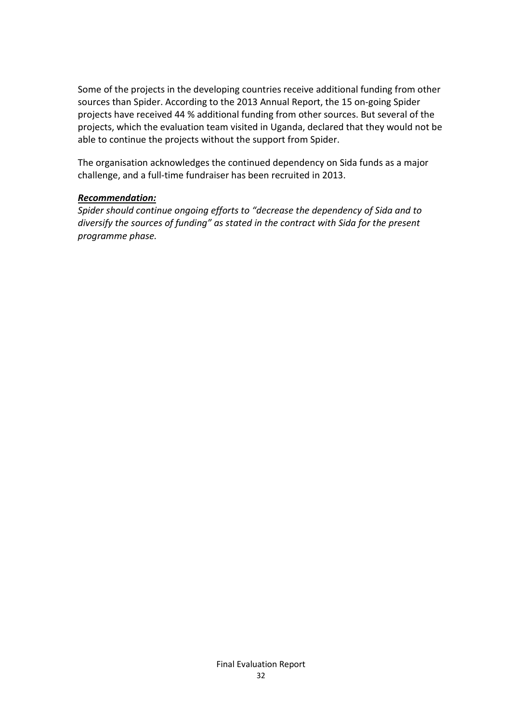Some of the projects in the developing countries receive additional funding from other sources than Spider. According to the 2013 Annual Report, the 15 on-going Spider projects have received 44 % additional funding from other sources. But several of the projects, which the evaluation team visited in Uganda, declared that they would not be able to continue the projects without the support from Spider.

The organisation acknowledges the continued dependency on Sida funds as a major challenge, and a full-time fundraiser has been recruited in 2013.

#### *Recommendation:*

*Spider should continue ongoing efforts to "decrease the dependency of Sida and to diversify the sources of funding" as stated in the contract with Sida for the present programme phase.*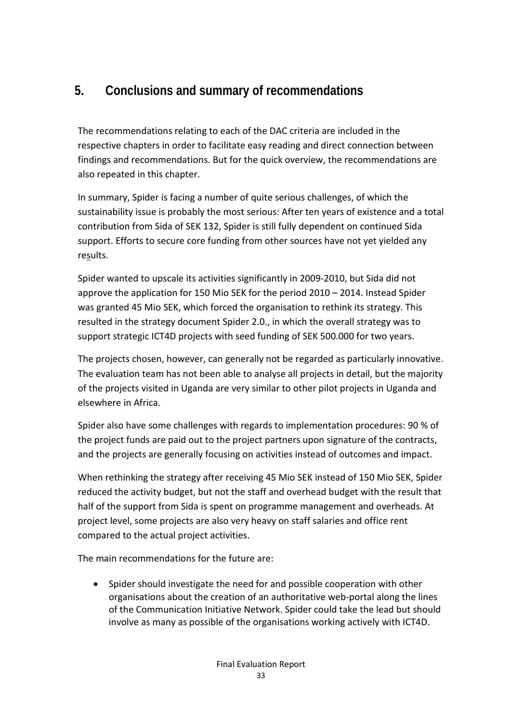## <span id="page-32-0"></span>**5. Conclusions and summary of recommendations**

The recommendations relating to each of the DAC criteria are included in the respective chapters in order to facilitate easy reading and direct connection between findings and recommendations. But for the quick overview, the recommendations are also repeated in this chapter.

In summary, Spider is facing a number of quite serious challenges, of which the sustainability issue is probably the most serious: After ten years of existence and a total contribution from Sida of SEK 132, Spider is still fully dependent on continued Sida support. Efforts to secure core funding from other sources have not yet yielded any results.

Spider wanted to upscale its activities significantly in 2009-2010, but Sida did not approve the application for 150 Mio SEK for the period 2010 – 2014. Instead Spider was granted 45 Mio SEK, which forced the organisation to rethink its strategy. This resulted in the strategy document Spider 2.0., in which the overall strategy was to support strategic ICT4D projects with seed funding of SEK 500.000 for two years.

The projects chosen, however, can generally not be regarded as particularly innovative. The evaluation team has not been able to analyse all projects in detail, but the majority of the projects visited in Uganda are very similar to other pilot projects in Uganda and elsewhere in Africa.

Spider also have some challenges with regards to implementation procedures: 90 % of the project funds are paid out to the project partners upon signature of the contracts, and the projects are generally focusing on activities instead of outcomes and impact.

When rethinking the strategy after receiving 45 Mio SEK instead of 150 Mio SEK, Spider reduced the activity budget, but not the staff and overhead budget with the result that half of the support from Sida is spent on programme management and overheads. At project level, some projects are also very heavy on staff salaries and office rent compared to the actual project activities.

The main recommendations for the future are:

• Spider should investigate the need for and possible cooperation with other organisations about the creation of an authoritative web-portal along the lines of the Communication Initiative Network. Spider could take the lead but should involve as many as possible of the organisations working actively with ICT4D.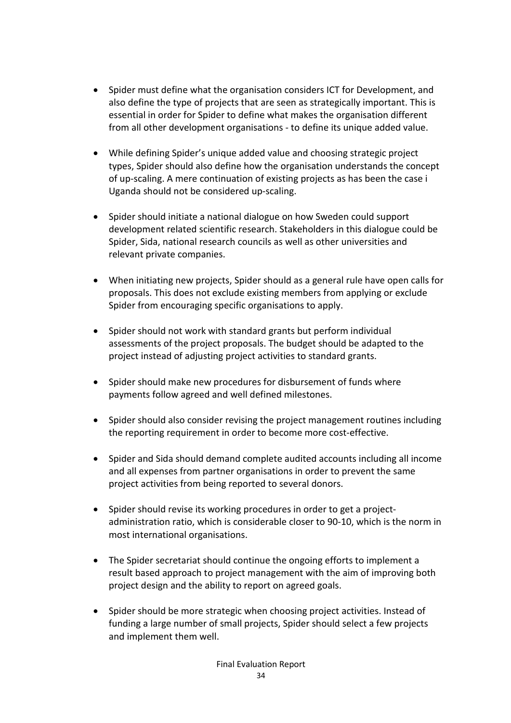- Spider must define what the organisation considers ICT for Development, and also define the type of projects that are seen as strategically important. This is essential in order for Spider to define what makes the organisation different from all other development organisations - to define its unique added value.
- While defining Spider's unique added value and choosing strategic project types, Spider should also define how the organisation understands the concept of up-scaling. A mere continuation of existing projects as has been the case i Uganda should not be considered up-scaling.
- Spider should initiate a national dialogue on how Sweden could support development related scientific research. Stakeholders in this dialogue could be Spider, Sida, national research councils as well as other universities and relevant private companies.
- When initiating new projects, Spider should as a general rule have open calls for proposals. This does not exclude existing members from applying or exclude Spider from encouraging specific organisations to apply.
- Spider should not work with standard grants but perform individual assessments of the project proposals. The budget should be adapted to the project instead of adjusting project activities to standard grants.
- Spider should make new procedures for disbursement of funds where payments follow agreed and well defined milestones.
- Spider should also consider revising the project management routines including the reporting requirement in order to become more cost-effective.
- Spider and Sida should demand complete audited accounts including all income and all expenses from partner organisations in order to prevent the same project activities from being reported to several donors.
- Spider should revise its working procedures in order to get a projectadministration ratio, which is considerable closer to 90-10, which is the norm in most international organisations.
- The Spider secretariat should continue the ongoing efforts to implement a result based approach to project management with the aim of improving both project design and the ability to report on agreed goals.
- Spider should be more strategic when choosing project activities. Instead of funding a large number of small projects, Spider should select a few projects and implement them well.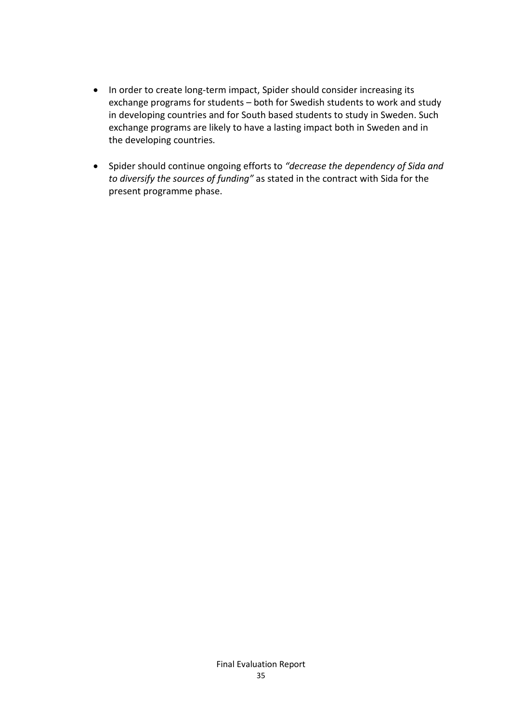- In order to create long-term impact, Spider should consider increasing its exchange programs for students – both for Swedish students to work and study in developing countries and for South based students to study in Sweden. Such exchange programs are likely to have a lasting impact both in Sweden and in the developing countries.
- Spider should continue ongoing efforts to *"decrease the dependency of Sida and to diversify the sources of funding"* as stated in the contract with Sida for the present programme phase.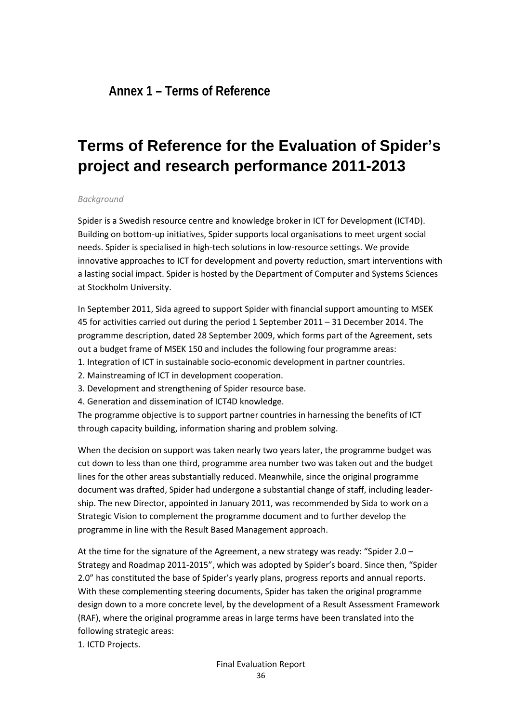<span id="page-35-0"></span>**Annex 1 – Terms of Reference**

## **Terms of Reference for the Evaluation of Spider's project and research performance 2011-2013**

#### *Background*

Spider is a Swedish resource centre and knowledge broker in ICT for Development (ICT4D). Building on bottom-up initiatives, Spider supports local organisations to meet urgent social needs. Spider is specialised in high-tech solutions in low-resource settings. We provide innovative approaches to ICT for development and poverty reduction, smart interventions with a lasting social impact. Spider is hosted by the Department of Computer and Systems Sciences at Stockholm University.

In September 2011, Sida agreed to support Spider with financial support amounting to MSEK 45 for activities carried out during the period 1 September 2011 – 31 December 2014. The programme description, dated 28 September 2009, which forms part of the Agreement, sets out a budget frame of MSEK 150 and includes the following four programme areas:

- 1. Integration of ICT in sustainable socio-economic development in partner countries.
- 2. Mainstreaming of ICT in development cooperation.
- 3. Development and strengthening of Spider resource base.
- 4. Generation and dissemination of ICT4D knowledge.

The programme objective is to support partner countries in harnessing the benefits of ICT through capacity building, information sharing and problem solving.

When the decision on support was taken nearly two years later, the programme budget was cut down to less than one third, programme area number two was taken out and the budget lines for the other areas substantially reduced. Meanwhile, since the original programme document was drafted, Spider had undergone a substantial change of staff, including leadership. The new Director, appointed in January 2011, was recommended by Sida to work on a Strategic Vision to complement the programme document and to further develop the programme in line with the Result Based Management approach.

At the time for the signature of the Agreement, a new strategy was ready: "Spider 2.0 – Strategy and Roadmap 2011-2015", which was adopted by Spider's board. Since then, "Spider 2.0" has constituted the base of Spider's yearly plans, progress reports and annual reports. With these complementing steering documents, Spider has taken the original programme design down to a more concrete level, by the development of a Result Assessment Framework (RAF), where the original programme areas in large terms have been translated into the following strategic areas:

1. ICTD Projects.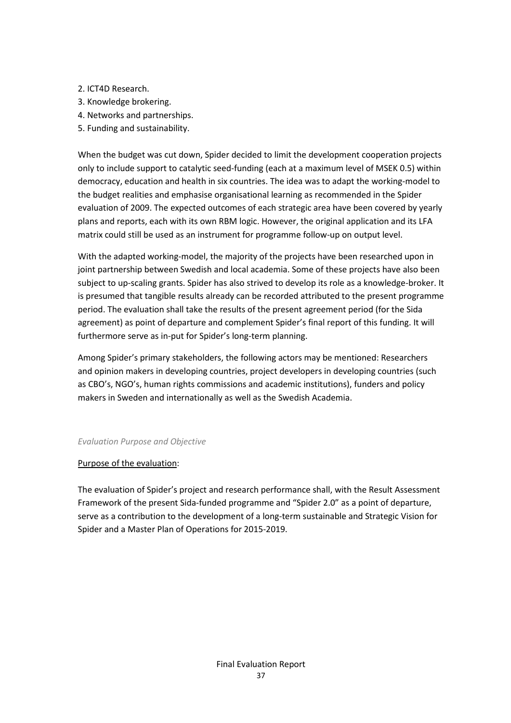- 2. ICT4D Research.
- 3. Knowledge brokering.
- 4. Networks and partnerships.
- 5. Funding and sustainability.

When the budget was cut down, Spider decided to limit the development cooperation projects only to include support to catalytic seed-funding (each at a maximum level of MSEK 0.5) within democracy, education and health in six countries. The idea was to adapt the working-model to the budget realities and emphasise organisational learning as recommended in the Spider evaluation of 2009. The expected outcomes of each strategic area have been covered by yearly plans and reports, each with its own RBM logic. However, the original application and its LFA matrix could still be used as an instrument for programme follow-up on output level.

With the adapted working-model, the majority of the projects have been researched upon in joint partnership between Swedish and local academia. Some of these projects have also been subject to up-scaling grants. Spider has also strived to develop its role as a knowledge-broker. It is presumed that tangible results already can be recorded attributed to the present programme period. The evaluation shall take the results of the present agreement period (for the Sida agreement) as point of departure and complement Spider's final report of this funding. It will furthermore serve as in-put for Spider's long-term planning.

Among Spider's primary stakeholders, the following actors may be mentioned: Researchers and opinion makers in developing countries, project developers in developing countries (such as CBO's, NGO's, human rights commissions and academic institutions), funders and policy makers in Sweden and internationally as well as the Swedish Academia.

#### *Evaluation Purpose and Objective*

#### Purpose of the evaluation:

The evaluation of Spider's project and research performance shall, with the Result Assessment Framework of the present Sida-funded programme and "Spider 2.0" as a point of departure, serve as a contribution to the development of a long-term sustainable and Strategic Vision for Spider and a Master Plan of Operations for 2015-2019.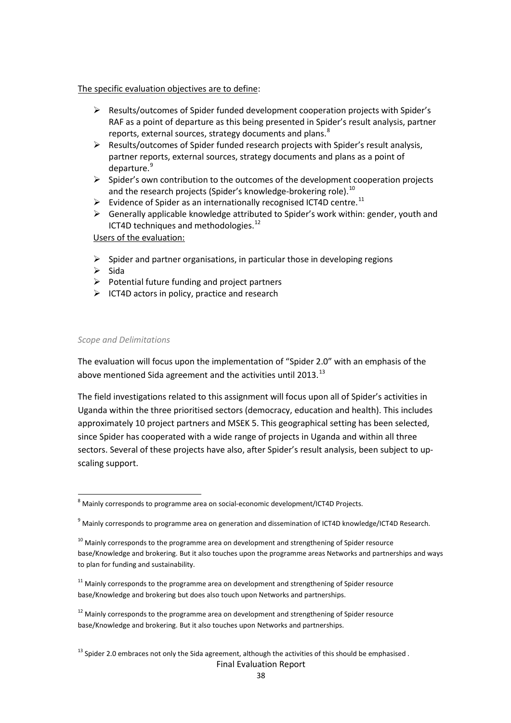#### The specific evaluation objectives are to define:

- Results/outcomes of Spider funded development cooperation projects with Spider's RAF as a point of departure as this being presented in Spider's result analysis, partner reports, external sources, strategy documents and plans. $8$
- Results/outcomes of Spider funded research projects with Spider's result analysis, partner reports, external sources, strategy documents and plans as a point of departure.<sup>[9](#page-37-1)</sup>
- $\triangleright$  Spider's own contribution to the outcomes of the development cooperation projects and the research projects (Spider's knowledge-brokering role).<sup>[10](#page-37-2)</sup>
- $\triangleright$  Evidence of Spider as an internationally recognised ICT4D centre.<sup>[11](#page-37-3)</sup>
- $\triangleright$  Generally applicable knowledge attributed to Spider's work within: gender, youth and ICT4D techniques and methodologies.<sup>12</sup>

#### Users of the evaluation:

- $\triangleright$  Spider and partner organisations, in particular those in developing regions
- $\triangleright$  Sida

 $\overline{a}$ 

- $\triangleright$  Potential future funding and project partners
- $\triangleright$  ICT4D actors in policy, practice and research

#### *Scope and Delimitations*

The evaluation will focus upon the implementation of "Spider 2.0" with an emphasis of the above mentioned Sida agreement and the activities until 20[13](#page-37-5). $^{13}$ 

The field investigations related to this assignment will focus upon all of Spider's activities in Uganda within the three prioritised sectors (democracy, education and health). This includes approximately 10 project partners and MSEK 5. This geographical setting has been selected, since Spider has cooperated with a wide range of projects in Uganda and within all three sectors. Several of these projects have also, after Spider's result analysis, been subject to upscaling support.

<span id="page-37-0"></span> $^8$  Mainly corresponds to programme area on social-economic development/ICT4D Projects.

<span id="page-37-1"></span><sup>&</sup>lt;sup>9</sup> Mainly corresponds to programme area on generation and dissemination of ICT4D knowledge/ICT4D Research.

<span id="page-37-2"></span> $10$  Mainly corresponds to the programme area on development and strengthening of Spider resource base/Knowledge and brokering. But it also touches upon the programme areas Networks and partnerships and ways to plan for funding and sustainability.

<span id="page-37-3"></span> $11$  Mainly corresponds to the programme area on development and strengthening of Spider resource base/Knowledge and brokering but does also touch upon Networks and partnerships.

<span id="page-37-4"></span> $12$  Mainly corresponds to the programme area on development and strengthening of Spider resource base/Knowledge and brokering. But it also touches upon Networks and partnerships.

<span id="page-37-5"></span> $13$  Spider 2.0 embraces not only the Sida agreement, although the activities of this should be emphasised.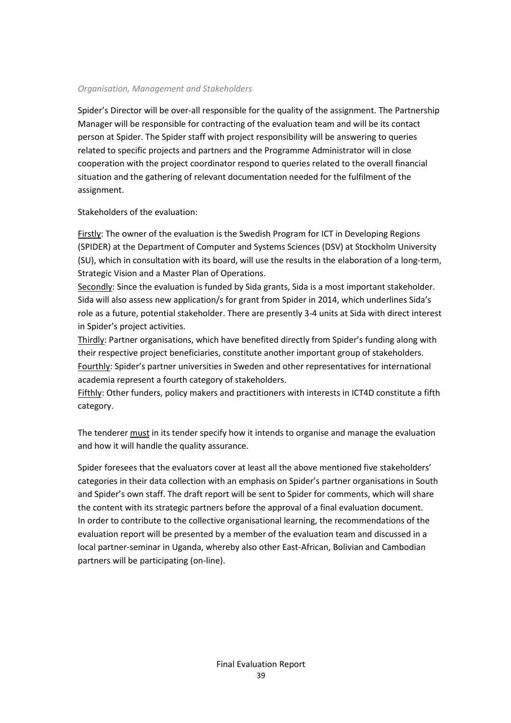#### *Organisation, Management and Stakeholders*

Spider's Director will be over-all responsible for the quality of the assignment. The Partnership Manager will be responsible for contracting of the evaluation team and will be its contact person at Spider. The Spider staff with project responsibility will be answering to queries related to specific projects and partners and the Programme Administrator will in close cooperation with the project coordinator respond to queries related to the overall financial situation and the gathering of relevant documentation needed for the fulfilment of the assignment.

#### Stakeholders of the evaluation:

Firstly: The owner of the evaluation is the Swedish Program for ICT in Developing Regions (SPIDER) at the Department of Computer and Systems Sciences (DSV) at Stockholm University (SU), which in consultation with its board, will use the results in the elaboration of a long-term, Strategic Vision and a Master Plan of Operations.

Secondly: Since the evaluation is funded by Sida grants, Sida is a most important stakeholder. Sida will also assess new application/s for grant from Spider in 2014, which underlines Sida's role as a future, potential stakeholder. There are presently 3-4 units at Sida with direct interest in Spider's project activities.

Thirdly: Partner organisations, which have benefited directly from Spider's funding along with their respective project beneficiaries, constitute another important group of stakeholders. Fourthly: Spider's partner universities in Sweden and other representatives for international academia represent a fourth category of stakeholders.

Fifthly: Other funders, policy makers and practitioners with interests in ICT4D constitute a fifth category.

The tenderer must in its tender specify how it intends to organise and manage the evaluation and how it will handle the quality assurance.

Spider foresees that the evaluators cover at least all the above mentioned five stakeholders' categories in their data collection with an emphasis on Spider's partner organisations in South and Spider's own staff. The draft report will be sent to Spider for comments, which will share the content with its strategic partners before the approval of a final evaluation document. In order to contribute to the collective organisational learning, the recommendations of the evaluation report will be presented by a member of the evaluation team and discussed in a local partner-seminar in Uganda, whereby also other East-African, Bolivian and Cambodian partners will be participating (on-line).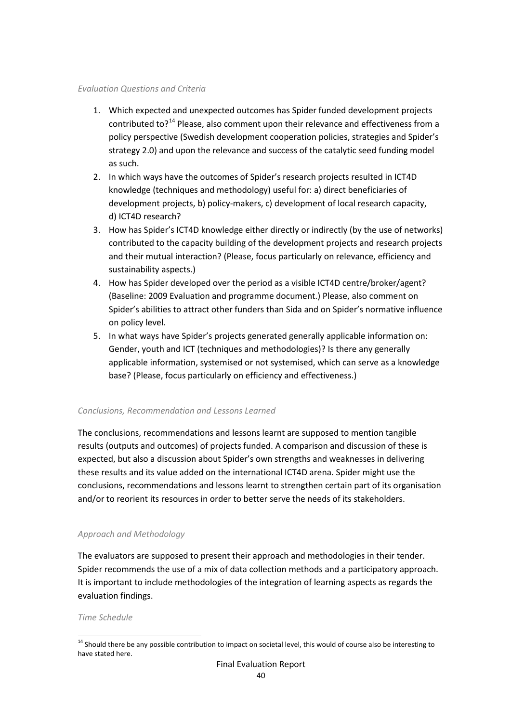#### *Evaluation Questions and Criteria*

- 1. Which expected and unexpected outcomes has Spider funded development projects contributed to?<sup>[14](#page-39-0)</sup> Please, also comment upon their relevance and effectiveness from a policy perspective (Swedish development cooperation policies, strategies and Spider's strategy 2.0) and upon the relevance and success of the catalytic seed funding model as such.
- 2. In which ways have the outcomes of Spider's research projects resulted in ICT4D knowledge (techniques and methodology) useful for: a) direct beneficiaries of development projects, b) policy-makers, c) development of local research capacity, d) ICT4D research?
- 3. How has Spider's ICT4D knowledge either directly or indirectly (by the use of networks) contributed to the capacity building of the development projects and research projects and their mutual interaction? (Please, focus particularly on relevance, efficiency and sustainability aspects.)
- 4. How has Spider developed over the period as a visible ICT4D centre/broker/agent? (Baseline: 2009 Evaluation and programme document.) Please, also comment on Spider's abilities to attract other funders than Sida and on Spider's normative influence on policy level.
- 5. In what ways have Spider's projects generated generally applicable information on: Gender, youth and ICT (techniques and methodologies)? Is there any generally applicable information, systemised or not systemised, which can serve as a knowledge base? (Please, focus particularly on efficiency and effectiveness.)

#### *Conclusions, Recommendation and Lessons Learned*

The conclusions, recommendations and lessons learnt are supposed to mention tangible results (outputs and outcomes) of projects funded. A comparison and discussion of these is expected, but also a discussion about Spider's own strengths and weaknesses in delivering these results and its value added on the international ICT4D arena. Spider might use the conclusions, recommendations and lessons learnt to strengthen certain part of its organisation and/or to reorient its resources in order to better serve the needs of its stakeholders.

#### *Approach and Methodology*

The evaluators are supposed to present their approach and methodologies in their tender. Spider recommends the use of a mix of data collection methods and a participatory approach. It is important to include methodologies of the integration of learning aspects as regards the evaluation findings.

#### *Time Schedule*

 $\overline{a}$ 

<span id="page-39-0"></span><sup>&</sup>lt;sup>14</sup> Should there be any possible contribution to impact on societal level, this would of course also be interesting to have stated here.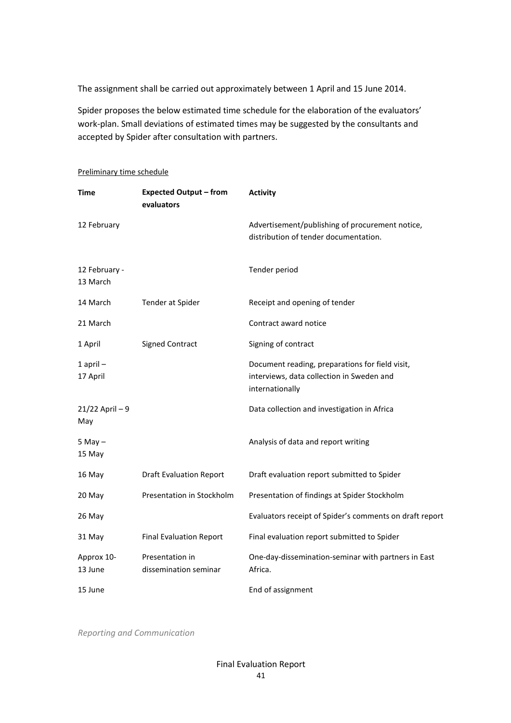The assignment shall be carried out approximately between 1 April and 15 June 2014.

Spider proposes the below estimated time schedule for the elaboration of the evaluators' work-plan. Small deviations of estimated times may be suggested by the consultants and accepted by Spider after consultation with partners.

| <b>Time</b>               | <b>Expected Output - from</b><br>evaluators | <b>Activity</b>                                                                                                 |
|---------------------------|---------------------------------------------|-----------------------------------------------------------------------------------------------------------------|
| 12 February               |                                             | Advertisement/publishing of procurement notice,<br>distribution of tender documentation.                        |
| 12 February -<br>13 March |                                             | Tender period                                                                                                   |
| 14 March                  | Tender at Spider                            | Receipt and opening of tender                                                                                   |
| 21 March                  |                                             | Contract award notice                                                                                           |
| 1 April                   | <b>Signed Contract</b>                      | Signing of contract                                                                                             |
| $1$ april $-$<br>17 April |                                             | Document reading, preparations for field visit,<br>interviews, data collection in Sweden and<br>internationally |
| $21/22$ April - 9<br>May  |                                             | Data collection and investigation in Africa                                                                     |
| $5$ May $-$<br>15 May     |                                             | Analysis of data and report writing                                                                             |
| 16 May                    | <b>Draft Evaluation Report</b>              | Draft evaluation report submitted to Spider                                                                     |
| 20 May                    | Presentation in Stockholm                   | Presentation of findings at Spider Stockholm                                                                    |
| 26 May                    |                                             | Evaluators receipt of Spider's comments on draft report                                                         |
| 31 May                    | <b>Final Evaluation Report</b>              | Final evaluation report submitted to Spider                                                                     |
| Approx 10-<br>13 June     | Presentation in<br>dissemination seminar    | One-day-dissemination-seminar with partners in East<br>Africa.                                                  |
| 15 June                   |                                             | End of assignment                                                                                               |

Preliminary time schedule

*Reporting and Communication*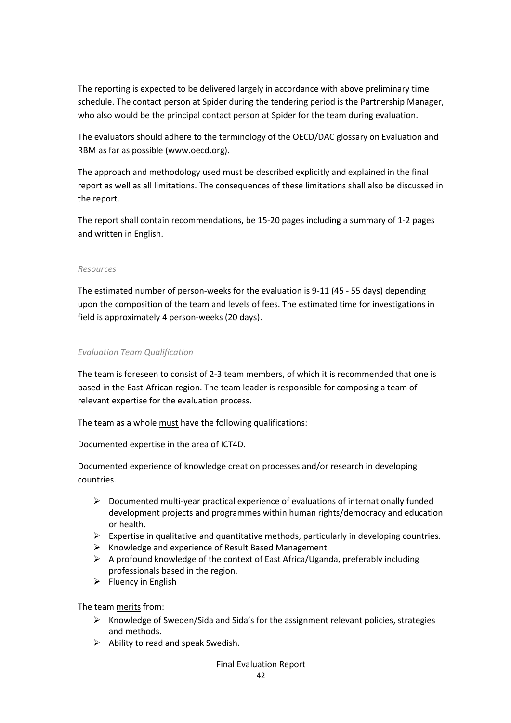The reporting is expected to be delivered largely in accordance with above preliminary time schedule. The contact person at Spider during the tendering period is the Partnership Manager, who also would be the principal contact person at Spider for the team during evaluation.

The evaluators should adhere to the terminology of the OECD/DAC glossary on Evaluation and RBM as far as possible (www.oecd.org).

The approach and methodology used must be described explicitly and explained in the final report as well as all limitations. The consequences of these limitations shall also be discussed in the report.

The report shall contain recommendations, be 15-20 pages including a summary of 1-2 pages and written in English.

#### *Resources*

The estimated number of person-weeks for the evaluation is 9-11 (45 - 55 days) depending upon the composition of the team and levels of fees. The estimated time for investigations in field is approximately 4 person-weeks (20 days).

#### *Evaluation Team Qualification*

The team is foreseen to consist of 2-3 team members, of which it is recommended that one is based in the East-African region. The team leader is responsible for composing a team of relevant expertise for the evaluation process.

The team as a whole must have the following qualifications:

Documented expertise in the area of ICT4D.

Documented experience of knowledge creation processes and/or research in developing countries.

- $\triangleright$  Documented multi-year practical experience of evaluations of internationally funded development projects and programmes within human rights/democracy and education or health.
- $\triangleright$  Expertise in qualitative and quantitative methods, particularly in developing countries.
- $\triangleright$  Knowledge and experience of Result Based Management
- $\triangleright$  A profound knowledge of the context of East Africa/Uganda, preferably including professionals based in the region.
- $\triangleright$  Fluency in English

The team merits from:

- $\triangleright$  Knowledge of Sweden/Sida and Sida's for the assignment relevant policies, strategies and methods.
- $\triangleright$  Ability to read and speak Swedish.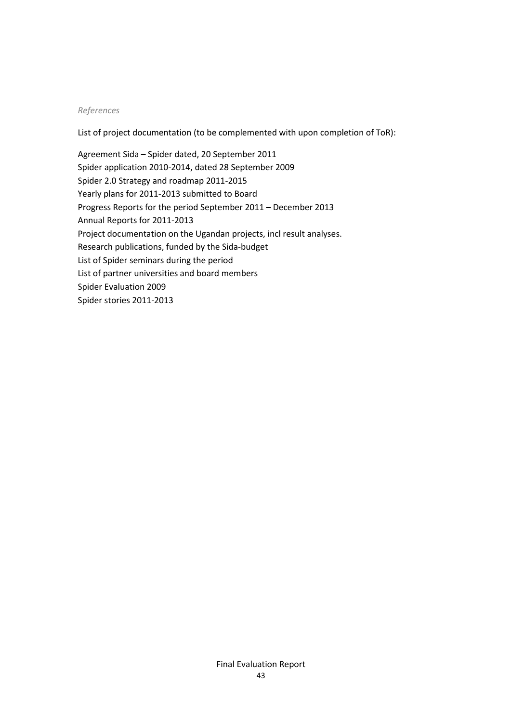#### *References*

List of project documentation (to be complemented with upon completion of ToR):

Agreement Sida – Spider dated, 20 September 2011 Spider application 2010-2014, dated 28 September 2009 Spider 2.0 Strategy and roadmap 2011-2015 Yearly plans for 2011-2013 submitted to Board Progress Reports for the period September 2011 – December 2013 Annual Reports for 2011-2013 Project documentation on the Ugandan projects, incl result analyses. Research publications, funded by the Sida-budget List of Spider seminars during the period List of partner universities and board members Spider Evaluation 2009 Spider stories 2011-2013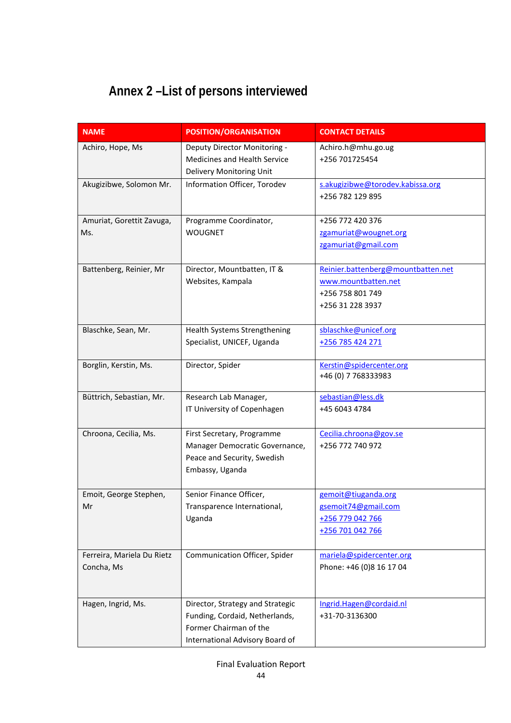## <span id="page-43-0"></span>**Annex 2 –List of persons interviewed**

| <b>NAME</b>                              | <b>POSITION/ORGANISATION</b>                                                                                                    | <b>CONTACT DETAILS</b>                                                                            |
|------------------------------------------|---------------------------------------------------------------------------------------------------------------------------------|---------------------------------------------------------------------------------------------------|
| Achiro, Hope, Ms                         | Deputy Director Monitoring -<br>Medicines and Health Service<br>Delivery Monitoring Unit                                        | Achiro.h@mhu.go.ug<br>+256 701725454                                                              |
| Akugizibwe, Solomon Mr.                  | Information Officer, Torodev                                                                                                    | s.akugizibwe@torodev.kabissa.org<br>+256 782 129 895                                              |
| Amuriat, Gorettit Zavuga,<br>Ms.         | Programme Coordinator,<br><b>WOUGNET</b>                                                                                        | +256 772 420 376<br>zgamuriat@wougnet.org<br>zgamuriat@gmail.com                                  |
| Battenberg, Reinier, Mr                  | Director, Mountbatten, IT &<br>Websites, Kampala                                                                                | Reinier.battenberg@mountbatten.net<br>www.mountbatten.net<br>+256 758 801 749<br>+256 31 228 3937 |
| Blaschke, Sean, Mr.                      | Health Systems Strengthening<br>Specialist, UNICEF, Uganda                                                                      | sblaschke@unicef.org<br>+256 785 424 271                                                          |
| Borglin, Kerstin, Ms.                    | Director, Spider                                                                                                                | Kerstin@spidercenter.org<br>+46 (0) 7 768333983                                                   |
| Büttrich, Sebastian, Mr.                 | Research Lab Manager,<br>IT University of Copenhagen                                                                            | sebastian@less.dk<br>+45 6043 4784                                                                |
| Chroona, Cecilia, Ms.                    | First Secretary, Programme<br>Manager Democratic Governance,<br>Peace and Security, Swedish<br>Embassy, Uganda                  | Cecilia.chroona@gov.se<br>+256 772 740 972                                                        |
| Emoit, George Stephen,<br>Mr             | Senior Finance Officer,<br>Transparence International,<br>Uganda                                                                | gemoit@tiuganda.org<br>gsemoit74@gmail.com<br>+256 779 042 766<br>+256 701 042 766                |
| Ferreira, Mariela Du Rietz<br>Concha, Ms | Communication Officer, Spider                                                                                                   | mariela@spidercenter.org<br>Phone: +46 (0)8 16 17 04                                              |
| Hagen, Ingrid, Ms.                       | Director, Strategy and Strategic<br>Funding, Cordaid, Netherlands,<br>Former Chairman of the<br>International Advisory Board of | Ingrid.Hagen@cordaid.nl<br>+31-70-3136300                                                         |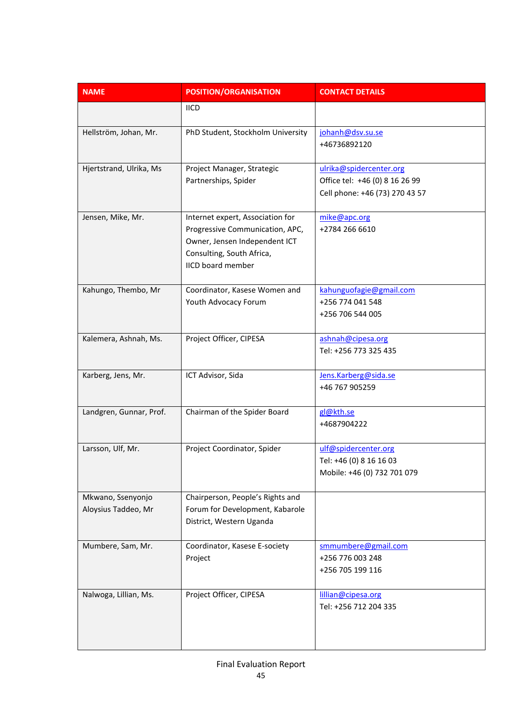| <b>NAME</b>                              | <b>POSITION/ORGANISATION</b>                                                                                                                                  | <b>CONTACT DETAILS</b>                                                                      |
|------------------------------------------|---------------------------------------------------------------------------------------------------------------------------------------------------------------|---------------------------------------------------------------------------------------------|
|                                          | <b>IICD</b>                                                                                                                                                   |                                                                                             |
| Hellström, Johan, Mr.                    | PhD Student, Stockholm University                                                                                                                             | johanh@dsv.su.se<br>+46736892120                                                            |
| Hjertstrand, Ulrika, Ms                  | Project Manager, Strategic<br>Partnerships, Spider                                                                                                            | ulrika@spidercenter.org<br>Office tel: +46 (0) 8 16 26 99<br>Cell phone: +46 (73) 270 43 57 |
| Jensen, Mike, Mr.                        | Internet expert, Association for<br>Progressive Communication, APC,<br>Owner, Jensen Independent ICT<br>Consulting, South Africa,<br><b>IICD board member</b> | mike@apc.org<br>+2784 266 6610                                                              |
| Kahungo, Thembo, Mr                      | Coordinator, Kasese Women and<br>Youth Advocacy Forum                                                                                                         | kahunguofagie@gmail.com<br>+256 774 041 548<br>+256 706 544 005                             |
| Kalemera, Ashnah, Ms.                    | Project Officer, CIPESA                                                                                                                                       | ashnah@cipesa.org<br>Tel: +256 773 325 435                                                  |
| Karberg, Jens, Mr.                       | ICT Advisor, Sida                                                                                                                                             | Jens.Karberg@sida.se<br>+46 767 905259                                                      |
| Landgren, Gunnar, Prof.                  | Chairman of the Spider Board                                                                                                                                  | gl@kth.se<br>+4687904222                                                                    |
| Larsson, Ulf, Mr.                        | Project Coordinator, Spider                                                                                                                                   | ulf@spidercenter.org<br>Tel: +46 (0) 8 16 16 03<br>Mobile: +46 (0) 732 701 079              |
| Mkwano, Ssenyonjo<br>Aloysius Taddeo, Mr | Chairperson, People's Rights and<br>Forum for Development, Kabarole<br>District, Western Uganda                                                               |                                                                                             |
| Mumbere, Sam, Mr.                        | Coordinator, Kasese E-society<br>Project                                                                                                                      | smmumbere@gmail.com<br>+256 776 003 248<br>+256 705 199 116                                 |
| Nalwoga, Lillian, Ms.                    | Project Officer, CIPESA                                                                                                                                       | lillian@cipesa.org<br>Tel: +256 712 204 335                                                 |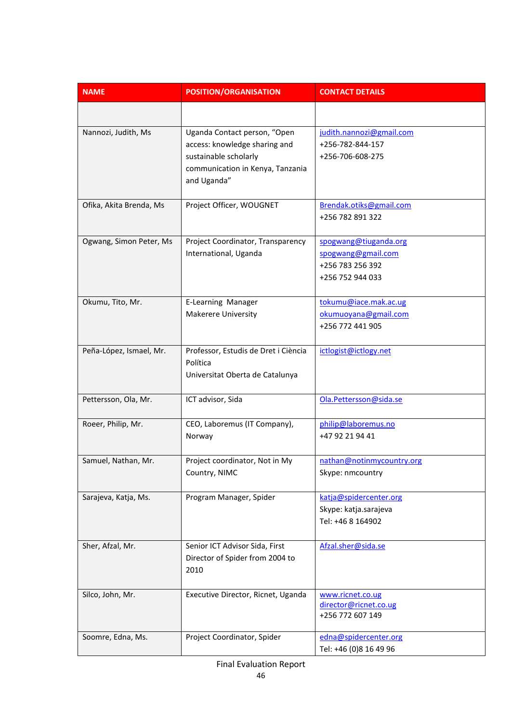| <b>NAME</b>             | <b>POSITION/ORGANISATION</b>                                                                                                              | <b>CONTACT DETAILS</b>                                                              |
|-------------------------|-------------------------------------------------------------------------------------------------------------------------------------------|-------------------------------------------------------------------------------------|
|                         |                                                                                                                                           |                                                                                     |
| Nannozi, Judith, Ms     | Uganda Contact person, "Open<br>access: knowledge sharing and<br>sustainable scholarly<br>communication in Kenya, Tanzania<br>and Uganda" | judith.nannozi@gmail.com<br>+256-782-844-157<br>+256-706-608-275                    |
| Ofika, Akita Brenda, Ms | Project Officer, WOUGNET                                                                                                                  | Brendak.otiks@gmail.com<br>+256 782 891 322                                         |
| Ogwang, Simon Peter, Ms | Project Coordinator, Transparency<br>International, Uganda                                                                                | spogwang@tiuganda.org<br>spogwang@gmail.com<br>+256 783 256 392<br>+256 752 944 033 |
| Okumu, Tito, Mr.        | E-Learning Manager<br><b>Makerere University</b>                                                                                          | tokumu@iace.mak.ac.ug<br>okumuoyana@gmail.com<br>+256 772 441 905                   |
| Peña-López, Ismael, Mr. | Professor, Estudis de Dret i Ciència<br>Política<br>Universitat Oberta de Catalunya                                                       | ictlogist@ictlogy.net                                                               |
| Pettersson, Ola, Mr.    | ICT advisor, Sida                                                                                                                         | Ola.Pettersson@sida.se                                                              |
| Roeer, Philip, Mr.      | CEO, Laboremus (IT Company),<br>Norway                                                                                                    | philip@laboremus.no<br>+47 92 21 94 41                                              |
| Samuel, Nathan, Mr.     | Project coordinator, Not in My<br>Country, NIMC                                                                                           | nathan@notinmycountry.org<br>Skype: nmcountry                                       |
| Sarajeva, Katja, Ms.    | Program Manager, Spider                                                                                                                   | katja@spidercenter.org<br>Skype: katja.sarajeva<br>Tel: +46 8 164902                |
| Sher, Afzal, Mr.        | Senior ICT Advisor Sida, First<br>Director of Spider from 2004 to<br>2010                                                                 | Afzal.sher@sida.se                                                                  |
| Silco, John, Mr.        | Executive Director, Ricnet, Uganda                                                                                                        | www.ricnet.co.ug<br>director@ricnet.co.ug<br>+256 772 607 149                       |
| Soomre, Edna, Ms.       | Project Coordinator, Spider                                                                                                               | edna@spidercenter.org<br>Tel: +46 (0)8 16 49 96                                     |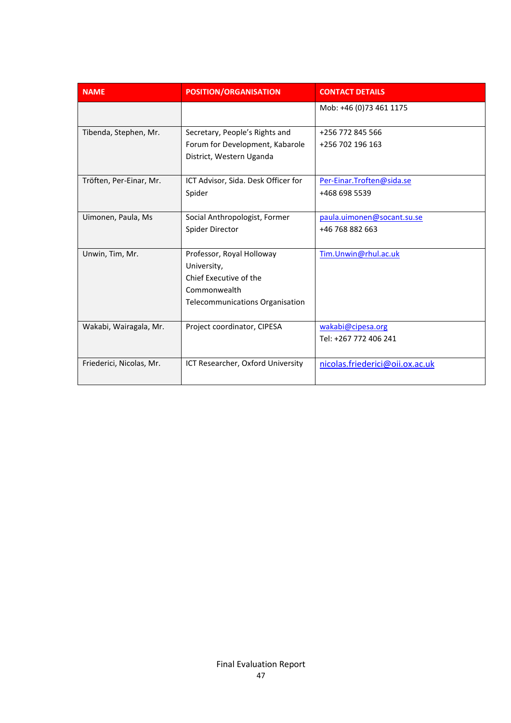| <b>NAME</b>              | <b>POSITION/ORGANISATION</b>        | <b>CONTACT DETAILS</b>          |
|--------------------------|-------------------------------------|---------------------------------|
|                          |                                     | Mob: +46 (0)73 461 1175         |
| Tibenda, Stephen, Mr.    | Secretary, People's Rights and      | +256 772 845 566                |
|                          | Forum for Development, Kabarole     | +256 702 196 163                |
|                          | District, Western Uganda            |                                 |
| Tröften, Per-Einar, Mr.  | ICT Advisor, Sida. Desk Officer for | Per-Einar.Troften@sida.se       |
|                          | Spider                              | +468 698 5539                   |
|                          |                                     |                                 |
| Uimonen, Paula, Ms       | Social Anthropologist, Former       | paula.uimonen@socant.su.se      |
|                          | Spider Director                     | +46 768 882 663                 |
|                          |                                     |                                 |
| Unwin, Tim, Mr.          | Professor, Royal Holloway           | Tim.Unwin@rhul.ac.uk            |
|                          | University,                         |                                 |
|                          | Chief Executive of the              |                                 |
|                          | Commonwealth                        |                                 |
|                          | Telecommunications Organisation     |                                 |
| Wakabi, Wairagala, Mr.   | Project coordinator, CIPESA         | wakabi@cipesa.org               |
|                          |                                     | Tel: +267 772 406 241           |
| Friederici, Nicolas, Mr. | ICT Researcher, Oxford University   | nicolas.friederici@oii.ox.ac.uk |
|                          |                                     |                                 |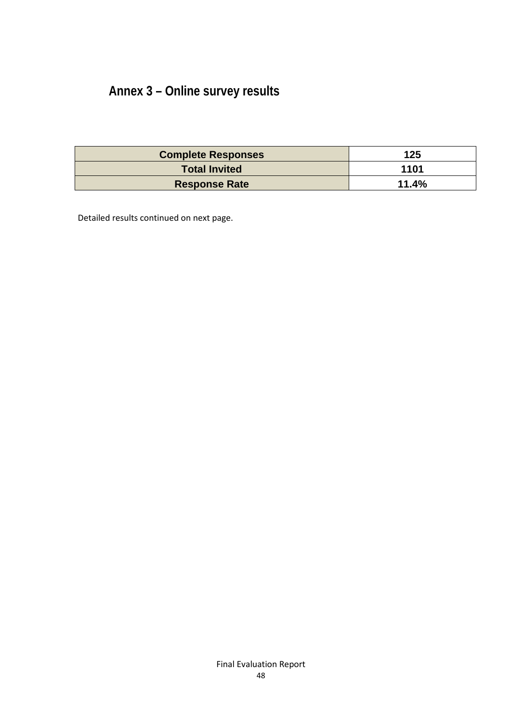## <span id="page-47-0"></span>**Annex 3 – Online survey results**

| <b>Complete Responses</b> | 125   |
|---------------------------|-------|
| <b>Total Invited</b>      | 1101  |
| <b>Response Rate</b>      | 11.4% |

Detailed results continued on next page.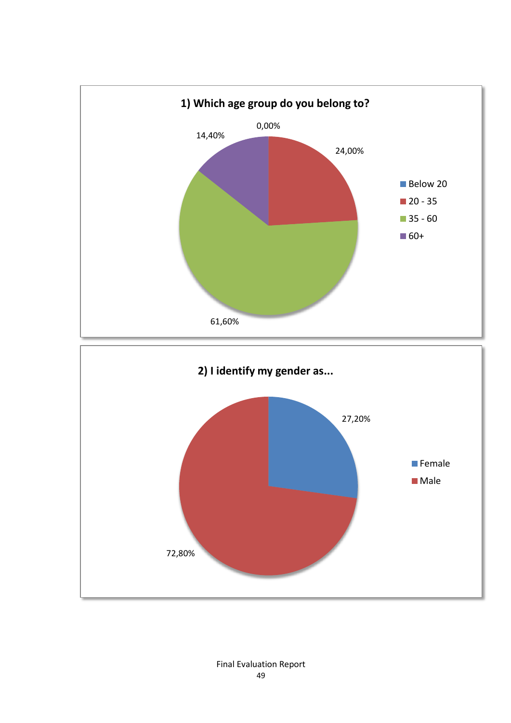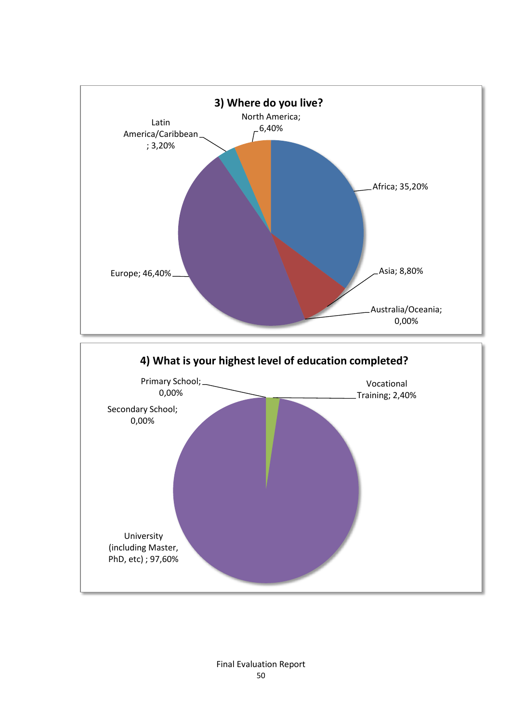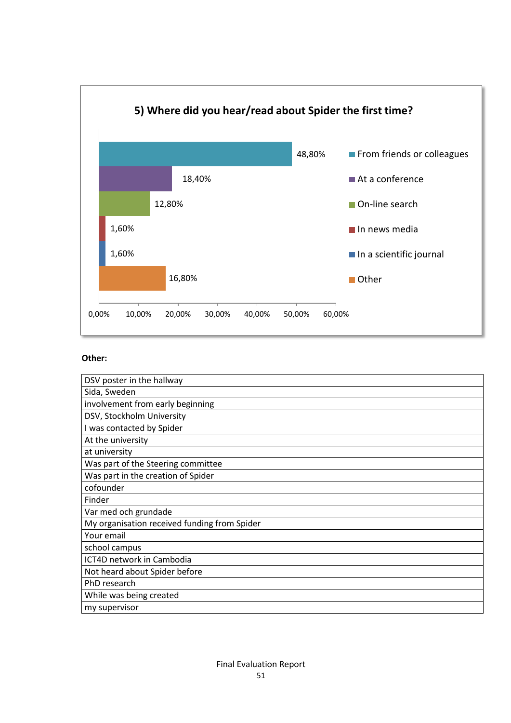

| DSV poster in the hallway                    |
|----------------------------------------------|
| Sida, Sweden                                 |
| involvement from early beginning             |
| DSV, Stockholm University                    |
| I was contacted by Spider                    |
| At the university                            |
| at university                                |
| Was part of the Steering committee           |
| Was part in the creation of Spider           |
| cofounder                                    |
| Finder                                       |
| Var med och grundade                         |
| My organisation received funding from Spider |
| Your email                                   |
| school campus                                |
| ICT4D network in Cambodia                    |
| Not heard about Spider before                |
| PhD research                                 |
| While was being created                      |
| my supervisor                                |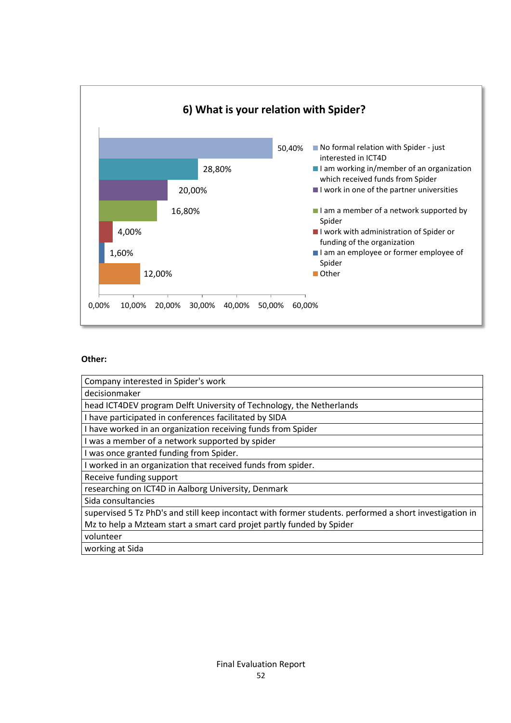

| Company interested in Spider's work                                                                     |
|---------------------------------------------------------------------------------------------------------|
| decisionmaker                                                                                           |
| head ICT4DEV program Delft University of Technology, the Netherlands                                    |
| I have participated in conferences facilitated by SIDA                                                  |
| I have worked in an organization receiving funds from Spider                                            |
| I was a member of a network supported by spider                                                         |
| I was once granted funding from Spider.                                                                 |
| I worked in an organization that received funds from spider.                                            |
| Receive funding support                                                                                 |
| researching on ICT4D in Aalborg University, Denmark                                                     |
| Sida consultancies                                                                                      |
| supervised 5 Tz PhD's and still keep incontact with former students. performed a short investigation in |
| Mz to help a Mzteam start a smart card projet partly funded by Spider                                   |
| volunteer                                                                                               |
| working at Sida                                                                                         |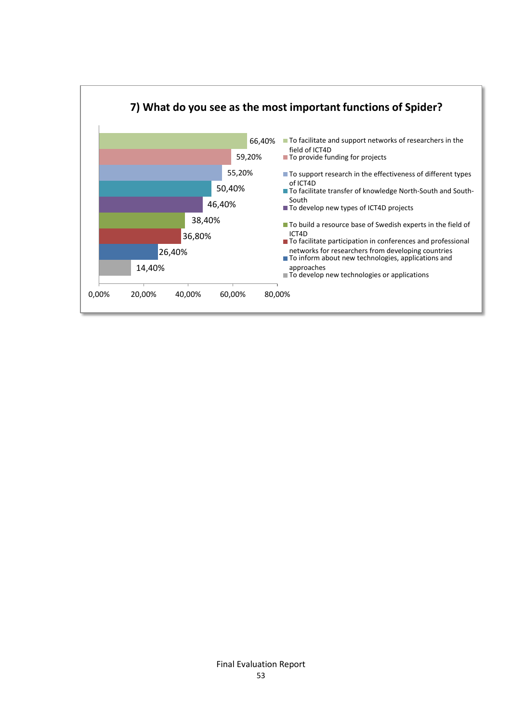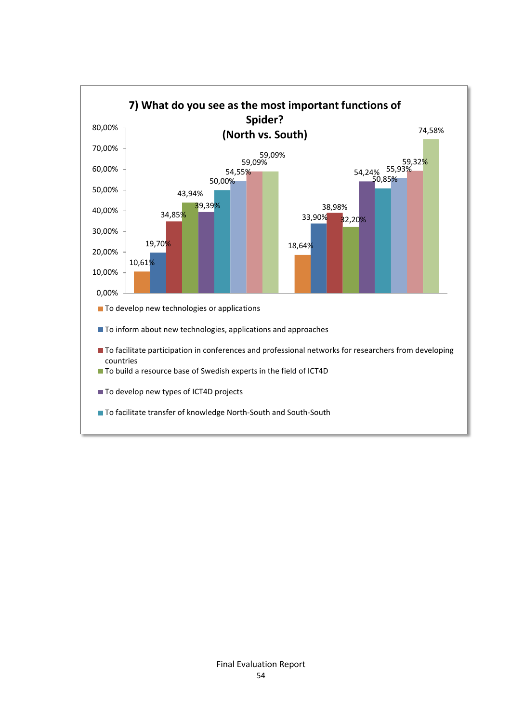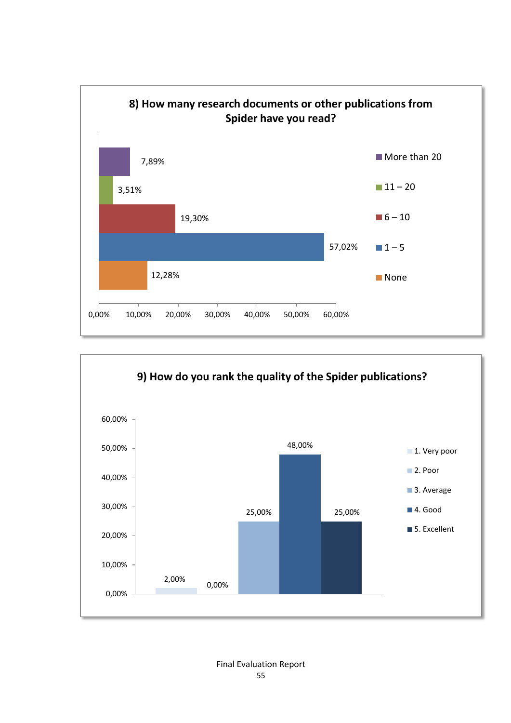

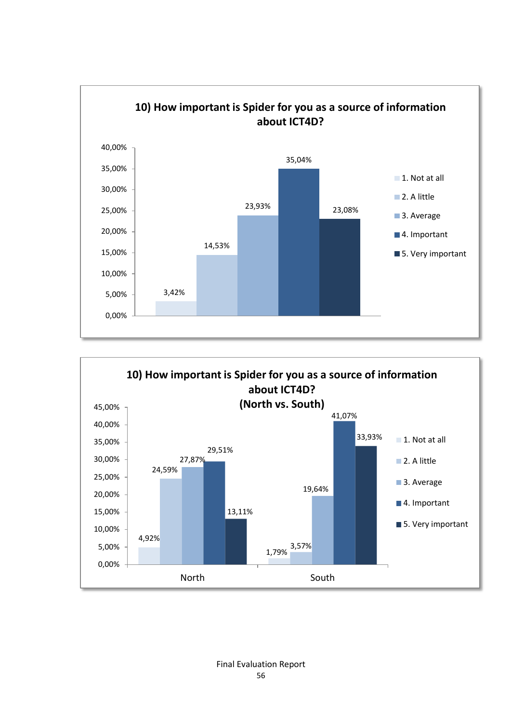

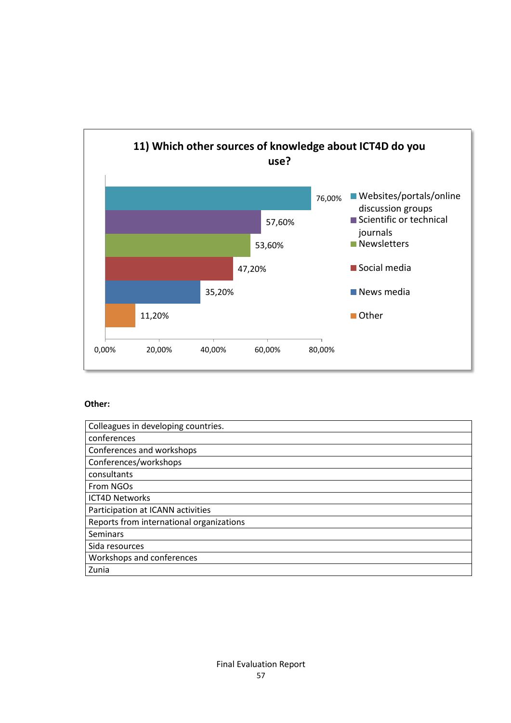

| Colleagues in developing countries.      |
|------------------------------------------|
| conferences                              |
| Conferences and workshops                |
| Conferences/workshops                    |
| consultants                              |
| From NGOs                                |
| <b>ICT4D Networks</b>                    |
| Participation at ICANN activities        |
| Reports from international organizations |
| <b>Seminars</b>                          |
| Sida resources                           |
| Workshops and conferences                |
| Zunia                                    |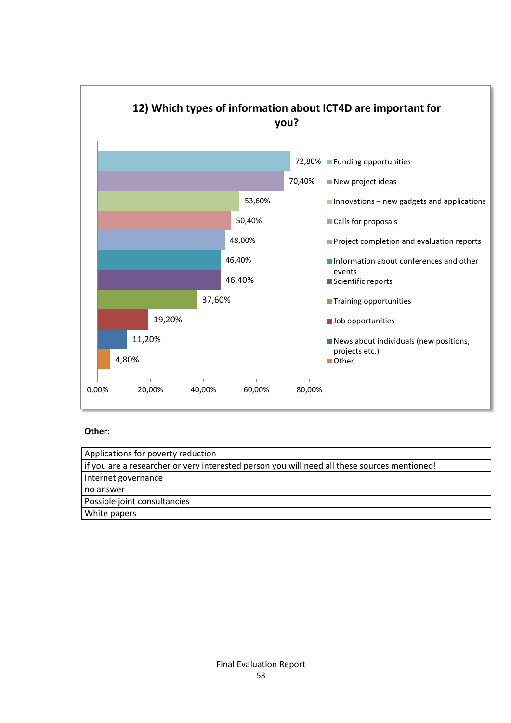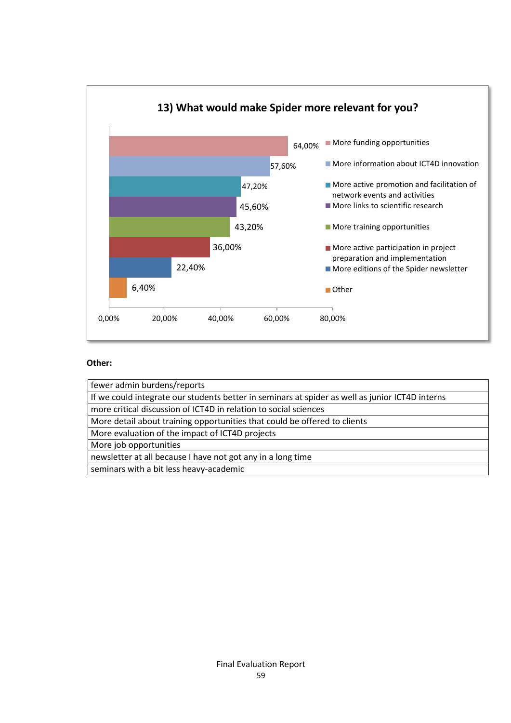

| fewer admin burdens/reports                                                                     |
|-------------------------------------------------------------------------------------------------|
| If we could integrate our students better in seminars at spider as well as junior ICT4D interns |
| more critical discussion of ICT4D in relation to social sciences                                |
| More detail about training opportunities that could be offered to clients                       |
| More evaluation of the impact of ICT4D projects                                                 |
| More job opportunities                                                                          |
| newsletter at all because I have not got any in a long time                                     |
| seminars with a bit less heavy-academic                                                         |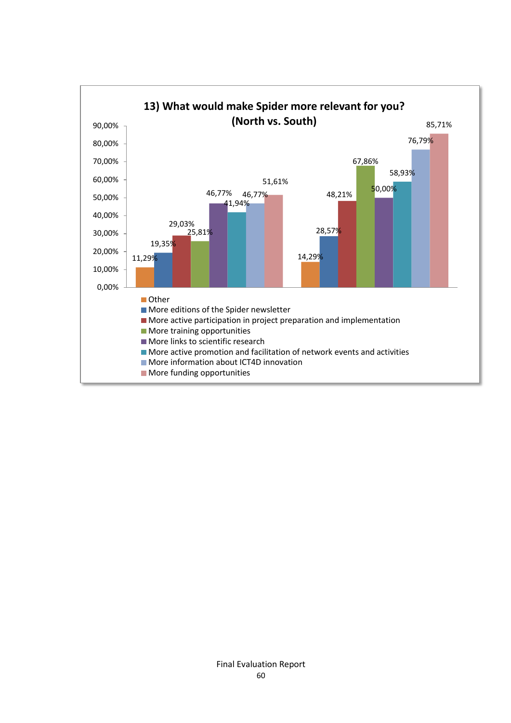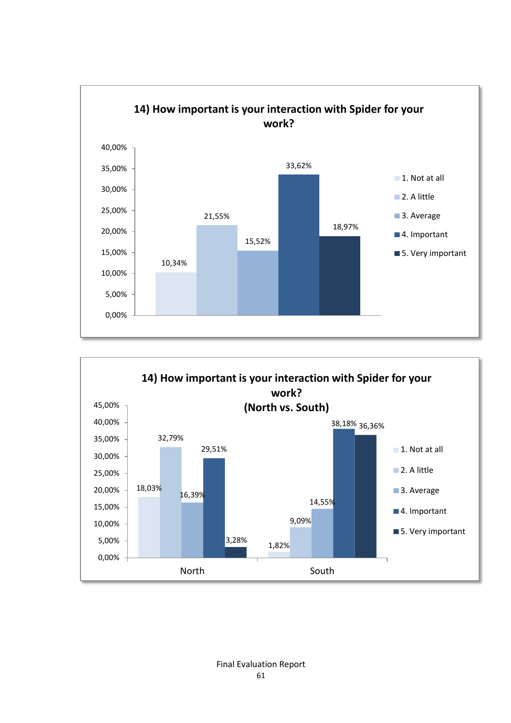

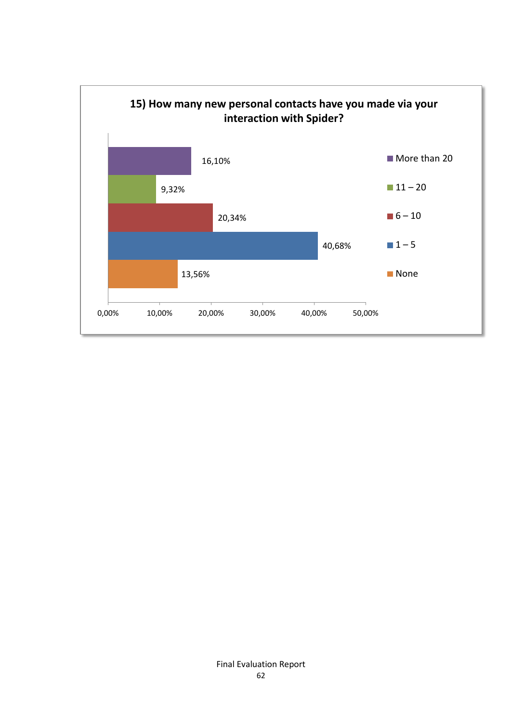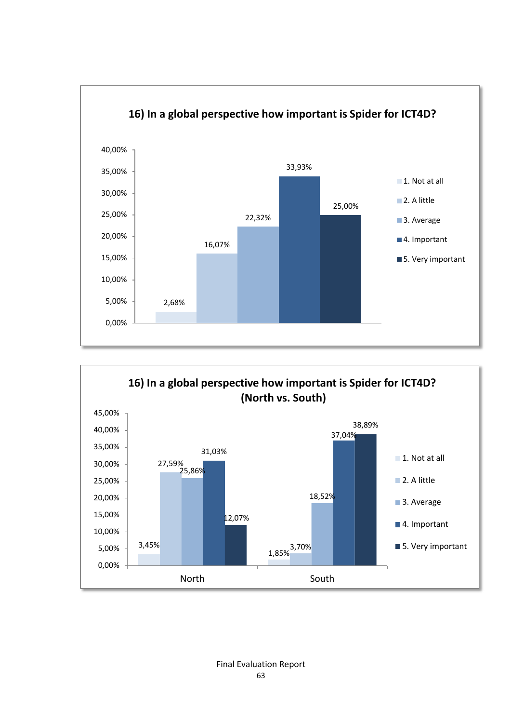

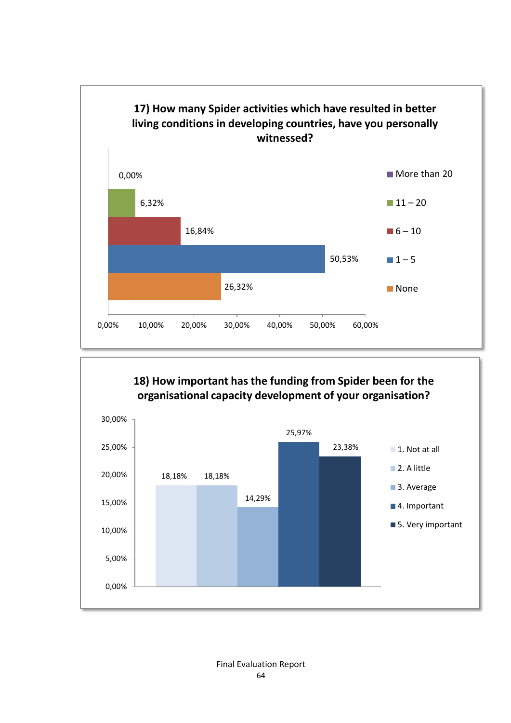

### **18) How important has the funding from Spider been for the organisational capacity development of your organisation?**

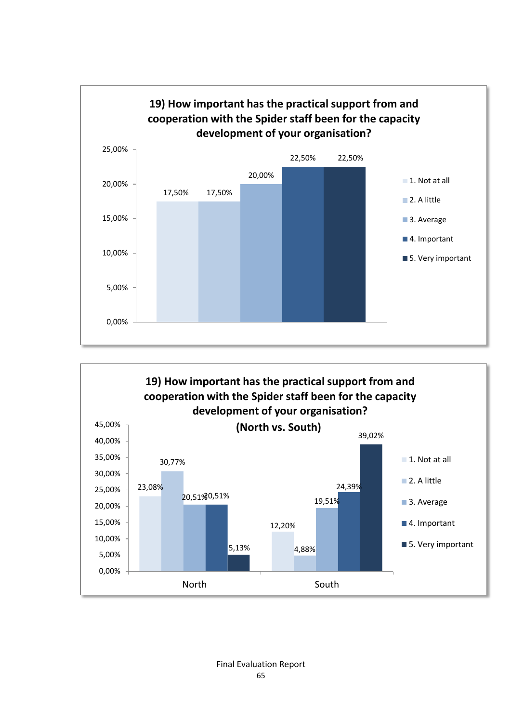

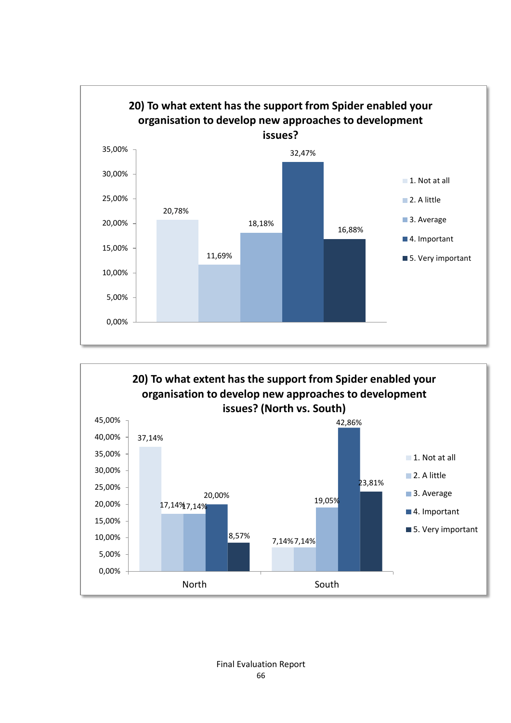

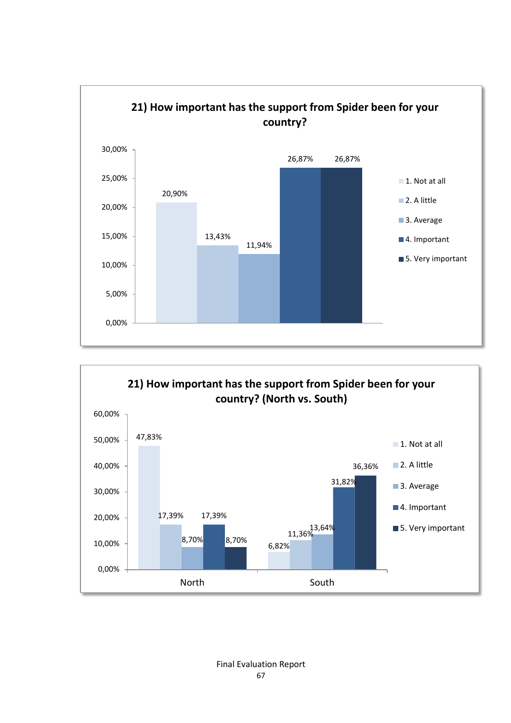

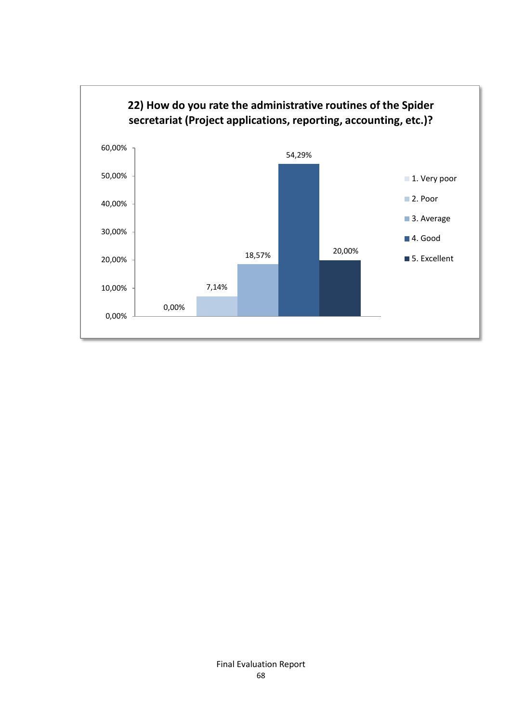